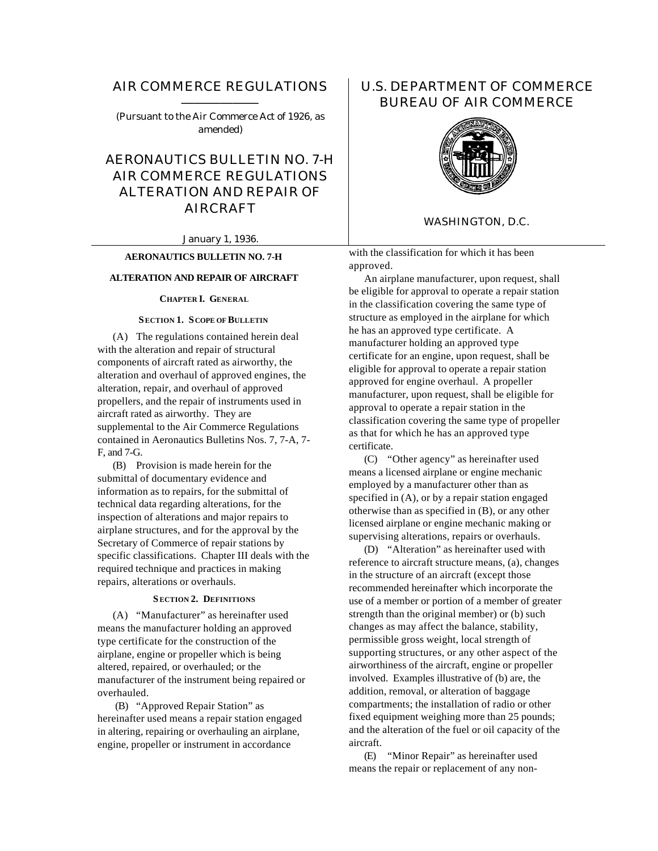# AIR COMMERCE REGULATIONS ——————

(Pursuant to the Air Commerce Act of 1926, as amended)

AERONAUTICS BULLETIN NO. 7-H AIR COMMERCE REGULATIONS ALTERATION AND REPAIR OF AIRCRAFT

January 1, 1936.

# **AERONAUTICS BULLETIN NO. 7-H**

# **ALTERATION AND REPAIR OF AIRCRAFT**

**CHAPTER I. GENERAL**

#### **SECTION 1. SCOPE OF BULLETIN**

(A) The regulations contained herein deal with the alteration and repair of structural components of aircraft rated as airworthy, the alteration and overhaul of approved engines, the alteration, repair, and overhaul of approved propellers, and the repair of instruments used in aircraft rated as airworthy. They are supplemental to the Air Commerce Regulations contained in Aeronautics Bulletins Nos. 7, 7-A, 7- F, and 7-G.

(B) Provision is made herein for the submittal of documentary evidence and information as to repairs, for the submittal of technical data regarding alterations, for the inspection of alterations and major repairs to airplane structures, and for the approval by the Secretary of Commerce of repair stations by specific classifications. Chapter III deals with the required technique and practices in making repairs, alterations or overhauls.

#### **SECTION 2. DEFINITIONS**

(A) "Manufacturer" as hereinafter used means the manufacturer holding an approved type certificate for the construction of the airplane, engine or propeller which is being altered, repaired, or overhauled; or the manufacturer of the instrument being repaired or overhauled.

 (B) "Approved Repair Station" as hereinafter used means a repair station engaged in altering, repairing or overhauling an airplane, engine, propeller or instrument in accordance

# U.S. DEPARTMENT OF COMMERCE BUREAU OF AIR COMMERCE



# WASHINGTON, D.C.

with the classification for which it has been approved.

An airplane manufacturer, upon request, shall be eligible for approval to operate a repair station in the classification covering the same type of structure as employed in the airplane for which he has an approved type certificate. A manufacturer holding an approved type certificate for an engine, upon request, shall be eligible for approval to operate a repair station approved for engine overhaul. A propeller manufacturer, upon request, shall be eligible for approval to operate a repair station in the classification covering the same type of propeller as that for which he has an approved type certificate.

(C) "Other agency" as hereinafter used means a licensed airplane or engine mechanic employed by a manufacturer other than as specified in (A), or by a repair station engaged otherwise than as specified in (B), or any other licensed airplane or engine mechanic making or supervising alterations, repairs or overhauls.

(D) "Alteration" as hereinafter used with reference to aircraft structure means, (a), changes in the structure of an aircraft (except those recommended hereinafter which incorporate the use of a member or portion of a member of greater strength than the original member) or (b) such changes as may affect the balance, stability, permissible gross weight, local strength of supporting structures, or any other aspect of the airworthiness of the aircraft, engine or propeller involved. Examples illustrative of (b) are, the addition, removal, or alteration of baggage compartments; the installation of radio or other fixed equipment weighing more than 25 pounds; and the alteration of the fuel or oil capacity of the aircraft.

(E) "Minor Repair" as hereinafter used means the repair or replacement of any non-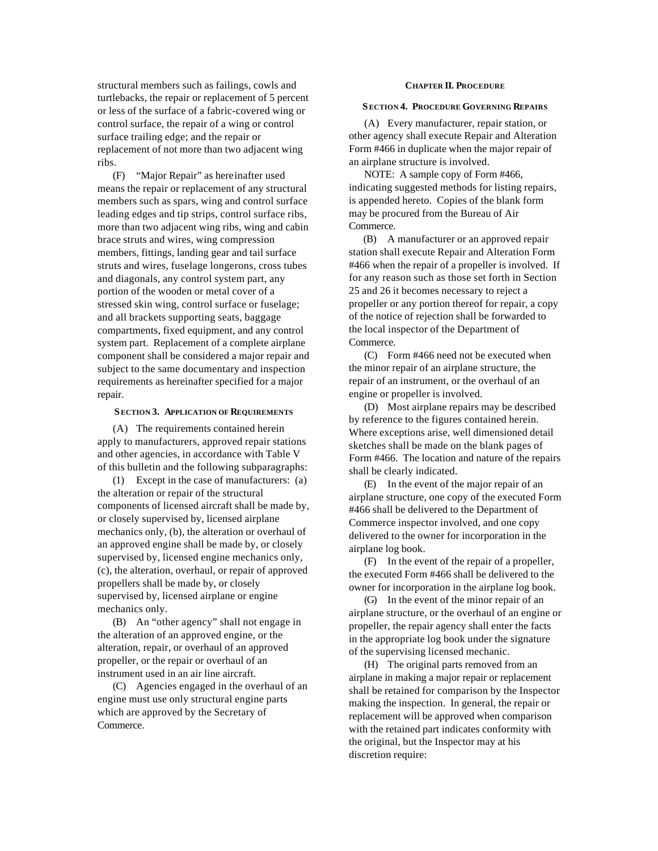structural members such as failings, cowls and turtlebacks, the repair or replacement of 5 percent or less of the surface of a fabric-covered wing or control surface, the repair of a wing or control surface trailing edge; and the repair or replacement of not more than two adjacent wing ribs.

(F) "Major Repair" as hereinafter used means the repair or replacement of any structural members such as spars, wing and control surface leading edges and tip strips, control surface ribs, more than two adjacent wing ribs, wing and cabin brace struts and wires, wing compression members, fittings, landing gear and tail surface struts and wires, fuselage longerons, cross tubes and diagonals, any control system part, any portion of the wooden or metal cover of a stressed skin wing, control surface or fuselage; and all brackets supporting seats, baggage compartments, fixed equipment, and any control system part. Replacement of a complete airplane component shall be considered a major repair and subject to the same documentary and inspection requirements as hereinafter specified for a major repair.

#### **SECTION 3. APPLICATION OF REQUIREMENTS**

(A) The requirements contained herein apply to manufacturers, approved repair stations and other agencies, in accordance with Table V of this bulletin and the following subparagraphs:

(1) Except in the case of manufacturers: (a) the alteration or repair of the structural components of licensed aircraft shall be made by, or closely supervised by, licensed airplane mechanics only, (b), the alteration or overhaul of an approved engine shall be made by, or closely supervised by, licensed engine mechanics only, (c), the alteration, overhaul, or repair of approved propellers shall be made by, or closely supervised by, licensed airplane or engine mechanics only.

(B) An "other agency" shall not engage in the alteration of an approved engine, or the alteration, repair, or overhaul of an approved propeller, or the repair or overhaul of an instrument used in an air line aircraft.

(C) Agencies engaged in the overhaul of an engine must use only structural engine parts which are approved by the Secretary of Commerce.

#### **CHAPTER II. PROCEDURE**

#### **SECTION 4. PROCEDURE GOVERNING REPAIRS**

(A) Every manufacturer, repair station, or other agency shall execute Repair and Alteration Form #466 in duplicate when the major repair of an airplane structure is involved.

NOTE: A sample copy of Form #466, indicating suggested methods for listing repairs, is appended hereto. Copies of the blank form may be procured from the Bureau of Air Commerce.

(B) A manufacturer or an approved repair station shall execute Repair and Alteration Form #466 when the repair of a propeller is involved. If for any reason such as those set forth in Section 25 and 26 it becomes necessary to reject a propeller or any portion thereof for repair, a copy of the notice of rejection shall be forwarded to the local inspector of the Department of Commerce.

(C) Form #466 need not be executed when the minor repair of an airplane structure, the repair of an instrument, or the overhaul of an engine or propeller is involved.

(D) Most airplane repairs may be described by reference to the figures contained herein. Where exceptions arise, well dimensioned detail sketches shall be made on the blank pages of Form #466. The location and nature of the repairs shall be clearly indicated.

(E) In the event of the major repair of an airplane structure, one copy of the executed Form #466 shall be delivered to the Department of Commerce inspector involved, and one copy delivered to the owner for incorporation in the airplane log book.

(F) In the event of the repair of a propeller, the executed Form #466 shall be delivered to the owner for incorporation in the airplane log book.

(G) In the event of the minor repair of an airplane structure, or the overhaul of an engine or propeller, the repair agency shall enter the facts in the appropriate log book under the signature of the supervising licensed mechanic.

(H) The original parts removed from an airplane in making a major repair or replacement shall be retained for comparison by the Inspector making the inspection. In general, the repair or replacement will be approved when comparison with the retained part indicates conformity with the original, but the Inspector may at his discretion require: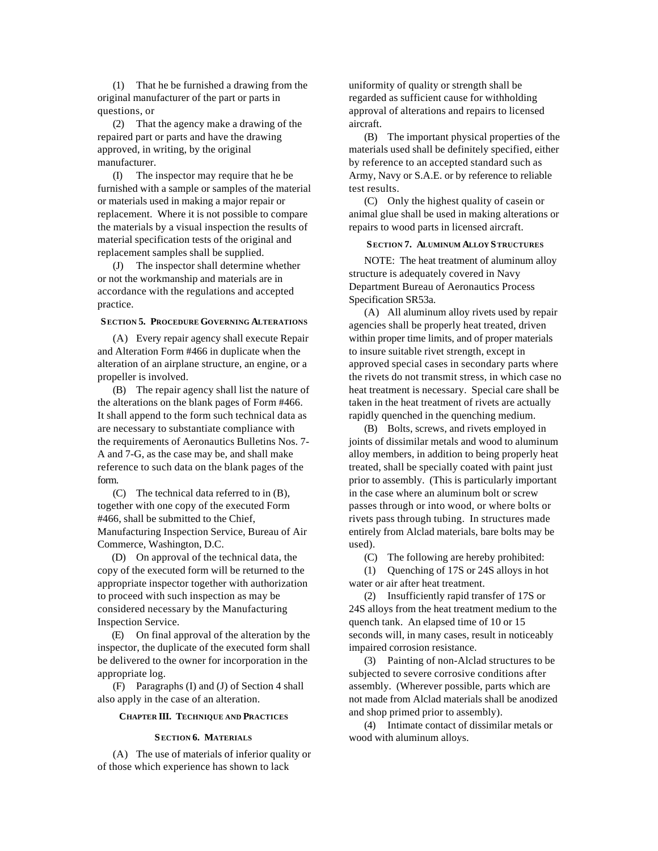(1) That he be furnished a drawing from the original manufacturer of the part or parts in questions, or

(2) That the agency make a drawing of the repaired part or parts and have the drawing approved, in writing, by the original manufacturer.

(I) The inspector may require that he be furnished with a sample or samples of the material or materials used in making a major repair or replacement. Where it is not possible to compare the materials by a visual inspection the results of material specification tests of the original and replacement samples shall be supplied.

(J) The inspector shall determine whether or not the workmanship and materials are in accordance with the regulations and accepted practice.

#### **SECTION 5. PROCEDURE GOVERNING ALTERATIONS**

(A) Every repair agency shall execute Repair and Alteration Form #466 in duplicate when the alteration of an airplane structure, an engine, or a propeller is involved.

(B) The repair agency shall list the nature of the alterations on the blank pages of Form #466. It shall append to the form such technical data as are necessary to substantiate compliance with the requirements of Aeronautics Bulletins Nos. 7- A and 7-G, as the case may be, and shall make reference to such data on the blank pages of the form.

(C) The technical data referred to in (B), together with one copy of the executed Form #466, shall be submitted to the Chief, Manufacturing Inspection Service, Bureau of Air Commerce, Washington, D.C.

(D) On approval of the technical data, the copy of the executed form will be returned to the appropriate inspector together with authorization to proceed with such inspection as may be considered necessary by the Manufacturing Inspection Service.

(E) On final approval of the alteration by the inspector, the duplicate of the executed form shall be delivered to the owner for incorporation in the appropriate log.

(F) Paragraphs (I) and (J) of Section 4 shall also apply in the case of an alteration.

#### **CHAPTER III. TECHNIQUE AND PRACTICES**

#### **SECTION 6. MATERIALS**

(A) The use of materials of inferior quality or of those which experience has shown to lack

uniformity of quality or strength shall be regarded as sufficient cause for withholding approval of alterations and repairs to licensed aircraft.

(B) The important physical properties of the materials used shall be definitely specified, either by reference to an accepted standard such as Army, Navy or S.A.E. or by reference to reliable test results.

(C) Only the highest quality of casein or animal glue shall be used in making alterations or repairs to wood parts in licensed aircraft.

#### **SECTION 7. ALUMINUM ALLOY STRUCTURES**

NOTE: The heat treatment of aluminum alloy structure is adequately covered in Navy Department Bureau of Aeronautics Process Specification SR53a.

(A) All aluminum alloy rivets used by repair agencies shall be properly heat treated, driven within proper time limits, and of proper materials to insure suitable rivet strength, except in approved special cases in secondary parts where the rivets do not transmit stress, in which case no heat treatment is necessary. Special care shall be taken in the heat treatment of rivets are actually rapidly quenched in the quenching medium.

(B) Bolts, screws, and rivets employed in joints of dissimilar metals and wood to aluminum alloy members, in addition to being properly heat treated, shall be specially coated with paint just prior to assembly. (This is particularly important in the case where an aluminum bolt or screw passes through or into wood, or where bolts or rivets pass through tubing. In structures made entirely from Alclad materials, bare bolts may be used).

(C) The following are hereby prohibited:

(1) Quenching of 17S or 24S alloys in hot water or air after heat treatment.

(2) Insufficiently rapid transfer of 17S or 24S alloys from the heat treatment medium to the quench tank. An elapsed time of 10 or 15 seconds will, in many cases, result in noticeably impaired corrosion resistance.

(3) Painting of non-Alclad structures to be subjected to severe corrosive conditions after assembly. (Wherever possible, parts which are not made from Alclad materials shall be anodized and shop primed prior to assembly).

(4) Intimate contact of dissimilar metals or wood with aluminum alloys.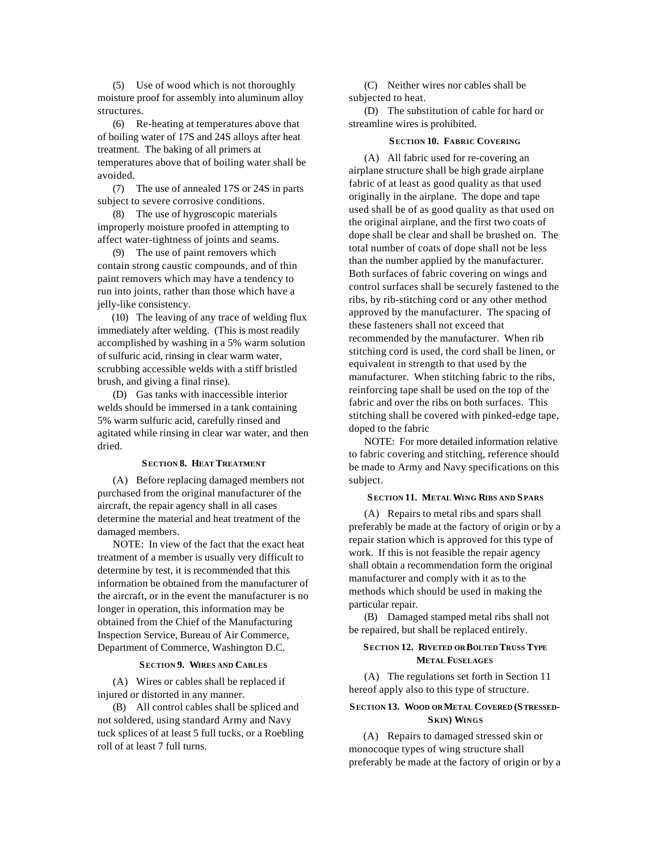(5) Use of wood which is not thoroughly moisture proof for assembly into aluminum alloy structures.

(6) Re-heating at temperatures above that of boiling water of 17S and 24S alloys after heat treatment. The baking of all primers at temperatures above that of boiling water shall be avoided.

(7) The use of annealed 17S or 24S in parts subject to severe corrosive conditions.

(8) The use of hygroscopic materials improperly moisture proofed in attempting to affect water-tightness of joints and seams.

(9) The use of paint removers which contain strong caustic compounds, and of thin paint removers which may have a tendency to run into joints, rather than those which have a jelly-like consistency.

(10) The leaving of any trace of welding flux immediately after welding. (This is most readily accomplished by washing in a 5% warm solution of sulfuric acid, rinsing in clear warm water, scrubbing accessible welds with a stiff bristled brush, and giving a final rinse).

(D) Gas tanks with inaccessible interior welds should be immersed in a tank containing 5% warm sulfuric acid, carefully rinsed and agitated while rinsing in clear war water, and then dried.

#### **SECTION 8. HEAT TREATMENT**

(A) Before replacing damaged members not purchased from the original manufacturer of the aircraft, the repair agency shall in all cases determine the material and heat treatment of the damaged members.

NOTE: In view of the fact that the exact heat treatment of a member is usually very difficult to determine by test, it is recommended that this information be obtained from the manufacturer of the aircraft, or in the event the manufacturer is no longer in operation, this information may be obtained from the Chief of the Manufacturing Inspection Service, Bureau of Air Commerce, Department of Commerce, Washington D.C.

#### **SECTION 9. WIRES AND CABLES**

(A) Wires or cables shall be replaced if injured or distorted in any manner.

(B) All control cables shall be spliced and not soldered, using standard Army and Navy tuck splices of at least 5 full tucks, or a Roebling roll of at least 7 full turns.

(C) Neither wires nor cables shall be subjected to heat.

(D) The substitution of cable for hard or streamline wires is prohibited.

#### **SECTION 10. FABRIC COVERING**

(A) All fabric used for re-covering an airplane structure shall be high grade airplane fabric of at least as good quality as that used originally in the airplane. The dope and tape used shall be of as good quality as that used on the original airplane, and the first two coats of dope shall be clear and shall be brushed on. The total number of coats of dope shall not be less than the number applied by the manufacturer. Both surfaces of fabric covering on wings and control surfaces shall be securely fastened to the ribs, by rib-stitching cord or any other method approved by the manufacturer. The spacing of these fasteners shall not exceed that recommended by the manufacturer. When rib stitching cord is used, the cord shall be linen, or equivalent in strength to that used by the manufacturer. When stitching fabric to the ribs, reinforcing tape shall be used on the top of the fabric and over the ribs on both surfaces. This stitching shall be covered with pinked-edge tape, doped to the fabric

NOTE: For more detailed information relative to fabric covering and stitching, reference should be made to Army and Navy specifications on this subject.

# **SECTION 11. METAL WING RIBS AND SPARS**

(A) Repairs to metal ribs and spars shall preferably be made at the factory of origin or by a repair station which is approved for this type of work. If this is not feasible the repair agency shall obtain a recommendation form the original manufacturer and comply with it as to the methods which should be used in making the particular repair.

(B) Damaged stamped metal ribs shall not be repaired, but shall be replaced entirely.

# **SECTION 12. RIVETED OR BOLTED TRUSS TYPE METAL FUSELAGES**

(A) The regulations set forth in Section 11 hereof apply also to this type of structure.

# **SECTION 13. WOOD OR METAL COVERED (STRESSED-SKIN) WINGS**

(A) Repairs to damaged stressed skin or monocoque types of wing structure shall preferably be made at the factory of origin or by a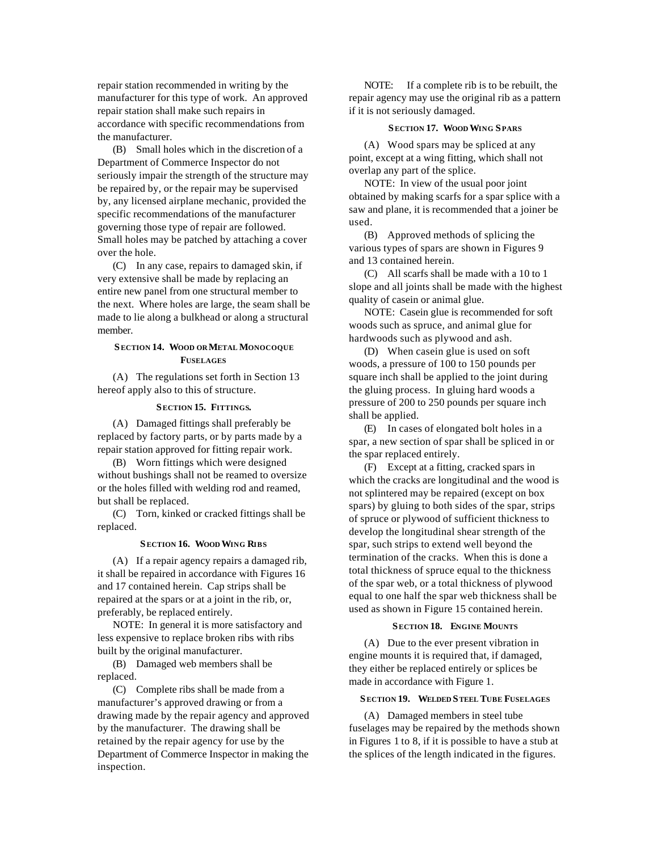repair station recommended in writing by the manufacturer for this type of work. An approved repair station shall make such repairs in accordance with specific recommendations from the manufacturer.

(B) Small holes which in the discretion of a Department of Commerce Inspector do not seriously impair the strength of the structure may be repaired by, or the repair may be supervised by, any licensed airplane mechanic, provided the specific recommendations of the manufacturer governing those type of repair are followed. Small holes may be patched by attaching a cover over the hole.

(C) In any case, repairs to damaged skin, if very extensive shall be made by replacing an entire new panel from one structural member to the next. Where holes are large, the seam shall be made to lie along a bulkhead or along a structural member.

## **SECTION 14. WOOD OR METAL MONOCOQUE FUSELAGES**

(A) The regulations set forth in Section 13 hereof apply also to this of structure.

#### **SECTION 15. FITTINGS.**

(A) Damaged fittings shall preferably be replaced by factory parts, or by parts made by a repair station approved for fitting repair work.

(B) Worn fittings which were designed without bushings shall not be reamed to oversize or the holes filled with welding rod and reamed, but shall be replaced.

(C) Torn, kinked or cracked fittings shall be replaced.

#### **SECTION 16. WOOD WING RIBS**

(A) If a repair agency repairs a damaged rib, it shall be repaired in accordance with Figures 16 and 17 contained herein. Cap strips shall be repaired at the spars or at a joint in the rib, or, preferably, be replaced entirely.

NOTE: In general it is more satisfactory and less expensive to replace broken ribs with ribs built by the original manufacturer.

(B) Damaged web members shall be replaced.

(C) Complete ribs shall be made from a manufacturer's approved drawing or from a drawing made by the repair agency and approved by the manufacturer. The drawing shall be retained by the repair agency for use by the Department of Commerce Inspector in making the inspection.

NOTE: If a complete rib is to be rebuilt, the repair agency may use the original rib as a pattern if it is not seriously damaged.

#### **SECTION 17. WOOD WING SPARS**

(A) Wood spars may be spliced at any point, except at a wing fitting, which shall not overlap any part of the splice.

NOTE: In view of the usual poor joint obtained by making scarfs for a spar splice with a saw and plane, it is recommended that a joiner be used.

(B) Approved methods of splicing the various types of spars are shown in Figures 9 and 13 contained herein.

(C) All scarfs shall be made with a 10 to 1 slope and all joints shall be made with the highest quality of casein or animal glue.

NOTE: Casein glue is recommended for soft woods such as spruce, and animal glue for hardwoods such as plywood and ash.

(D) When casein glue is used on soft woods, a pressure of 100 to 150 pounds per square inch shall be applied to the joint during the gluing process. In gluing hard woods a pressure of 200 to 250 pounds per square inch shall be applied.

(E) In cases of elongated bolt holes in a spar, a new section of spar shall be spliced in or the spar replaced entirely.

(F) Except at a fitting, cracked spars in which the cracks are longitudinal and the wood is not splintered may be repaired (except on box spars) by gluing to both sides of the spar, strips of spruce or plywood of sufficient thickness to develop the longitudinal shear strength of the spar, such strips to extend well beyond the termination of the cracks. When this is done a total thickness of spruce equal to the thickness of the spar web, or a total thickness of plywood equal to one half the spar web thickness shall be used as shown in Figure 15 contained herein.

#### **SECTION 18. ENGINE MOUNTS**

(A) Due to the ever present vibration in engine mounts it is required that, if damaged, they either be replaced entirely or splices be made in accordance with Figure 1.

# **SECTION 19. WELDED STEEL TUBE FUSELAGES**

(A) Damaged members in steel tube fuselages may be repaired by the methods shown in Figures 1 to 8, if it is possible to have a stub at the splices of the length indicated in the figures.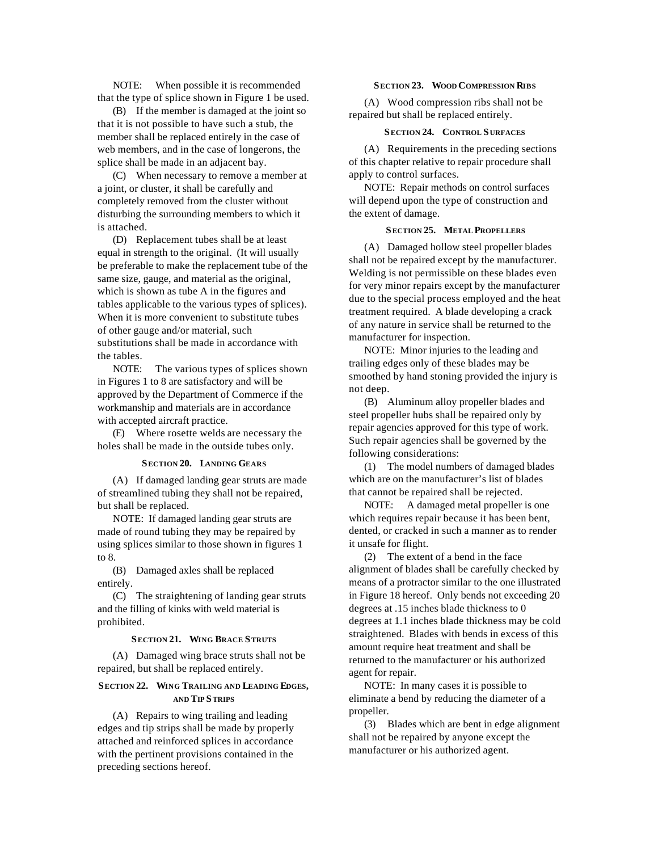NOTE: When possible it is recommended that the type of splice shown in Figure 1 be used.

(B) If the member is damaged at the joint so that it is not possible to have such a stub, the member shall be replaced entirely in the case of web members, and in the case of longerons, the splice shall be made in an adjacent bay.

(C) When necessary to remove a member at a joint, or cluster, it shall be carefully and completely removed from the cluster without disturbing the surrounding members to which it is attached.

(D) Replacement tubes shall be at least equal in strength to the original. (It will usually be preferable to make the replacement tube of the same size, gauge, and material as the original, which is shown as tube A in the figures and tables applicable to the various types of splices). When it is more convenient to substitute tubes of other gauge and/or material, such substitutions shall be made in accordance with the tables.

NOTE: The various types of splices shown in Figures 1 to 8 are satisfactory and will be approved by the Department of Commerce if the workmanship and materials are in accordance with accepted aircraft practice.

(E) Where rosette welds are necessary the holes shall be made in the outside tubes only.

#### **SECTION 20. LANDING GEARS**

(A) If damaged landing gear struts are made of streamlined tubing they shall not be repaired, but shall be replaced.

NOTE: If damaged landing gear struts are made of round tubing they may be repaired by using splices similar to those shown in figures 1 to 8.

(B) Damaged axles shall be replaced entirely.

(C) The straightening of landing gear struts and the filling of kinks with weld material is prohibited.

## **SECTION 21. WING BRACE STRUTS**

(A) Damaged wing brace struts shall not be repaired, but shall be replaced entirely.

# **SECTION 22. WING TRAILING AND LEADING EDGES, AND TIP STRIPS**

(A) Repairs to wing trailing and leading edges and tip strips shall be made by properly attached and reinforced splices in accordance with the pertinent provisions contained in the preceding sections hereof.

#### **SECTION 23. WOOD COMPRESSION RIBS**

(A) Wood compression ribs shall not be repaired but shall be replaced entirely.

#### **SECTION 24. CONTROL S URFACES**

(A) Requirements in the preceding sections of this chapter relative to repair procedure shall apply to control surfaces.

NOTE: Repair methods on control surfaces will depend upon the type of construction and the extent of damage.

# **SECTION 25. METAL PROPELLERS**

(A) Damaged hollow steel propeller blades shall not be repaired except by the manufacturer. Welding is not permissible on these blades even for very minor repairs except by the manufacturer due to the special process employed and the heat treatment required. A blade developing a crack of any nature in service shall be returned to the manufacturer for inspection.

NOTE: Minor injuries to the leading and trailing edges only of these blades may be smoothed by hand stoning provided the injury is not deep.

(B) Aluminum alloy propeller blades and steel propeller hubs shall be repaired only by repair agencies approved for this type of work. Such repair agencies shall be governed by the following considerations:

(1) The model numbers of damaged blades which are on the manufacturer's list of blades that cannot be repaired shall be rejected.

NOTE: A damaged metal propeller is one which requires repair because it has been bent, dented, or cracked in such a manner as to render it unsafe for flight.

(2) The extent of a bend in the face alignment of blades shall be carefully checked by means of a protractor similar to the one illustrated in Figure 18 hereof. Only bends not exceeding 20 degrees at .15 inches blade thickness to 0 degrees at 1.1 inches blade thickness may be cold straightened. Blades with bends in excess of this amount require heat treatment and shall be returned to the manufacturer or his authorized agent for repair.

NOTE: In many cases it is possible to eliminate a bend by reducing the diameter of a propeller.

(3) Blades which are bent in edge alignment shall not be repaired by anyone except the manufacturer or his authorized agent.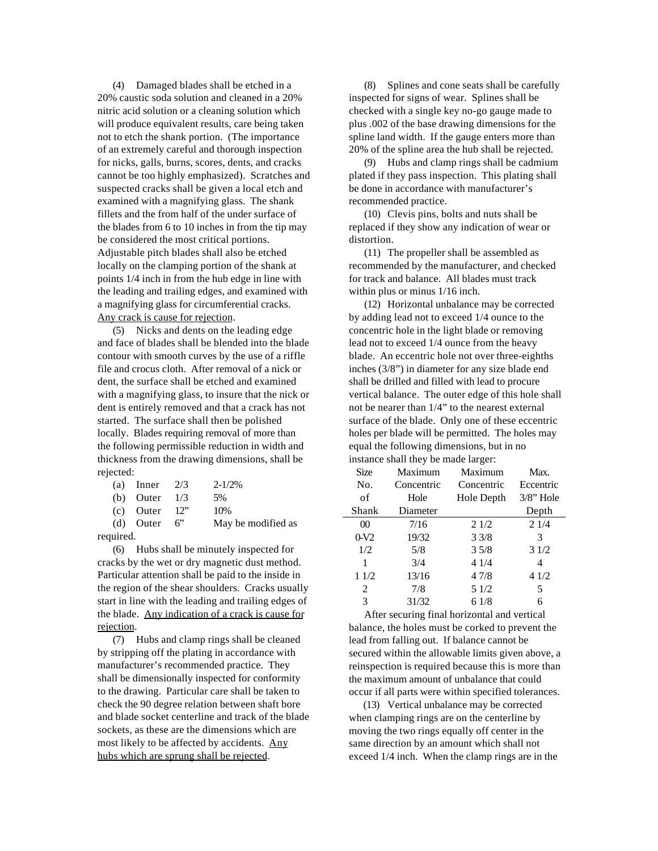(4) Damaged blades shall be etched in a 20% caustic soda solution and cleaned in a 20% nitric acid solution or a cleaning solution which will produce equivalent results, care being taken not to etch the shank portion. (The importance of an extremely careful and thorough inspection for nicks, galls, burns, scores, dents, and cracks cannot be too highly emphasized). Scratches and suspected cracks shall be given a local etch and examined with a magnifying glass. The shank fillets and the from half of the under surface of the blades from 6 to 10 inches in from the tip may be considered the most critical portions. Adjustable pitch blades shall also be etched locally on the clamping portion of the shank at points 1/4 inch in from the hub edge in line with the leading and trailing edges, and examined with a magnifying glass for circumferential cracks. Any crack is cause for rejection.

(5) Nicks and dents on the leading edge and face of blades shall be blended into the blade contour with smooth curves by the use of a riffle file and crocus cloth. After removal of a nick or dent, the surface shall be etched and examined with a magnifying glass, to insure that the nick or dent is entirely removed and that a crack has not started. The surface shall then be polished locally. Blades requiring removal of more than the following permissible reduction in width and thickness from the drawing dimensions, shall be rejected:

| (a) Inner $2/3$    | $2 - 1/2%$         |
|--------------------|--------------------|
| (b) Outer $1/3$    | .5%                |
| $(c)$ Outer $12$ " | 10%                |
| (d) Outer $6$ "    | May be modified as |
|                    |                    |

required.

(6) Hubs shall be minutely inspected for cracks by the wet or dry magnetic dust method. Particular attention shall be paid to the inside in the region of the shear shoulders. Cracks usually start in line with the leading and trailing edges of the blade. Any indication of a crack is cause for rejection.

(7) Hubs and clamp rings shall be cleaned by stripping off the plating in accordance with manufacturer's recommended practice. They shall be dimensionally inspected for conformity to the drawing. Particular care shall be taken to check the 90 degree relation between shaft bore and blade socket centerline and track of the blade sockets, as these are the dimensions which are most likely to be affected by accidents. Any hubs which are sprung shall be rejected.

(8) Splines and cone seats shall be carefully inspected for signs of wear. Splines shall be checked with a single key no-go gauge made to plus .002 of the base drawing dimensions for the spline land width. If the gauge enters more than 20% of the spline area the hub shall be rejected.

(9) Hubs and clamp rings shall be cadmium plated if they pass inspection. This plating shall be done in accordance with manufacturer's recommended practice.

(10) Clevis pins, bolts and nuts shall be replaced if they show any indication of wear or distortion.

(11) The propeller shall be assembled as recommended by the manufacturer, and checked for track and balance. All blades must track within plus or minus 1/16 inch.

(12) Horizontal unbalance may be corrected by adding lead not to exceed 1/4 ounce to the concentric hole in the light blade or removing lead not to exceed 1/4 ounce from the heavy blade. An eccentric hole not over three-eighths inches (3/8") in diameter for any size blade end shall be drilled and filled with lead to procure vertical balance. The outer edge of this hole shall not be nearer than 1/4" to the nearest external surface of the blade. Only one of these eccentric holes per blade will be permitted. The holes may equal the following dimensions, but in no instance shall they be made larger:

| <b>Size</b> | Maximum    | Maximum    | Max.         |
|-------------|------------|------------|--------------|
| No.         | Concentric | Concentric | Eccentric    |
| of          | Hole       | Hole Depth | $3/8$ " Hole |
| Shank       | Diameter   |            | Depth        |
| $\Omega$    | 7/16       | 21/2       | 21/4         |
| $0-V2$      | 19/32      | 33/8       | 3            |
| 1/2         | 5/8        | 35/8       | 31/2         |
| 1           | 3/4        | 41/4       | 4            |
| 11/2        | 13/16      | 47/8       | 41/2         |
| 2           | 7/8        | 5 1/2      | 5            |
| 3           | 31/32      | 61/8       | 6            |

After securing final horizontal and vertical balance, the holes must be corked to prevent the lead from falling out. If balance cannot be secured within the allowable limits given above, a reinspection is required because this is more than the maximum amount of unbalance that could occur if all parts were within specified tolerances.

(13) Vertical unbalance may be corrected when clamping rings are on the centerline by moving the two rings equally off center in the same direction by an amount which shall not exceed 1/4 inch. When the clamp rings are in the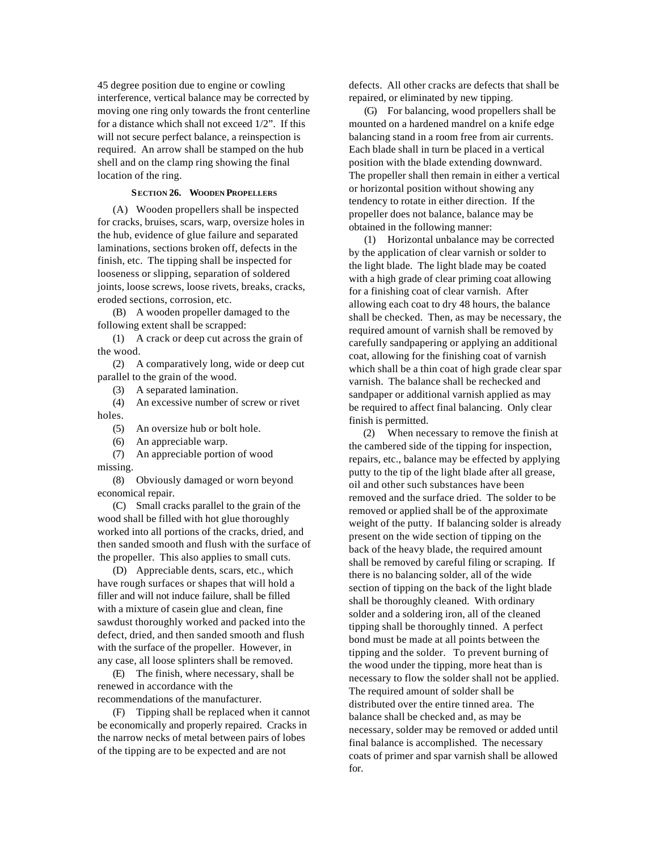45 degree position due to engine or cowling interference, vertical balance may be corrected by moving one ring only towards the front centerline for a distance which shall not exceed 1/2". If this will not secure perfect balance, a reinspection is required. An arrow shall be stamped on the hub shell and on the clamp ring showing the final location of the ring.

#### **SECTION 26. WOODEN PROPELLERS**

(A) Wooden propellers shall be inspected for cracks, bruises, scars, warp, oversize holes in the hub, evidence of glue failure and separated laminations, sections broken off, defects in the finish, etc. The tipping shall be inspected for looseness or slipping, separation of soldered joints, loose screws, loose rivets, breaks, cracks, eroded sections, corrosion, etc.

(B) A wooden propeller damaged to the following extent shall be scrapped:

(1) A crack or deep cut across the grain of the wood.

(2) A comparatively long, wide or deep cut parallel to the grain of the wood.

(3) A separated lamination.

(4) An excessive number of screw or rivet holes.

(5) An oversize hub or bolt hole.

(6) An appreciable warp.

(7) An appreciable portion of wood missing.

(8) Obviously damaged or worn beyond economical repair.

(C) Small cracks parallel to the grain of the wood shall be filled with hot glue thoroughly worked into all portions of the cracks, dried, and then sanded smooth and flush with the surface of the propeller. This also applies to small cuts.

(D) Appreciable dents, scars, etc., which have rough surfaces or shapes that will hold a filler and will not induce failure, shall be filled with a mixture of casein glue and clean, fine sawdust thoroughly worked and packed into the defect, dried, and then sanded smooth and flush with the surface of the propeller. However, in any case, all loose splinters shall be removed.

(E) The finish, where necessary, shall be renewed in accordance with the recommendations of the manufacturer.

(F) Tipping shall be replaced when it cannot be economically and properly repaired. Cracks in the narrow necks of metal between pairs of lobes of the tipping are to be expected and are not

defects. All other cracks are defects that shall be repaired, or eliminated by new tipping.

(G) For balancing, wood propellers shall be mounted on a hardened mandrel on a knife edge balancing stand in a room free from air currents. Each blade shall in turn be placed in a vertical position with the blade extending downward. The propeller shall then remain in either a vertical or horizontal position without showing any tendency to rotate in either direction. If the propeller does not balance, balance may be obtained in the following manner:

(1) Horizontal unbalance may be corrected by the application of clear varnish or solder to the light blade. The light blade may be coated with a high grade of clear priming coat allowing for a finishing coat of clear varnish. After allowing each coat to dry 48 hours, the balance shall be checked. Then, as may be necessary, the required amount of varnish shall be removed by carefully sandpapering or applying an additional coat, allowing for the finishing coat of varnish which shall be a thin coat of high grade clear spar varnish. The balance shall be rechecked and sandpaper or additional varnish applied as may be required to affect final balancing. Only clear finish is permitted.

(2) When necessary to remove the finish at the cambered side of the tipping for inspection, repairs, etc., balance may be effected by applying putty to the tip of the light blade after all grease, oil and other such substances have been removed and the surface dried. The solder to be removed or applied shall be of the approximate weight of the putty. If balancing solder is already present on the wide section of tipping on the back of the heavy blade, the required amount shall be removed by careful filing or scraping. If there is no balancing solder, all of the wide section of tipping on the back of the light blade shall be thoroughly cleaned. With ordinary solder and a soldering iron, all of the cleaned tipping shall be thoroughly tinned. A perfect bond must be made at all points between the tipping and the solder. To prevent burning of the wood under the tipping, more heat than is necessary to flow the solder shall not be applied. The required amount of solder shall be distributed over the entire tinned area. The balance shall be checked and, as may be necessary, solder may be removed or added until final balance is accomplished. The necessary coats of primer and spar varnish shall be allowed for.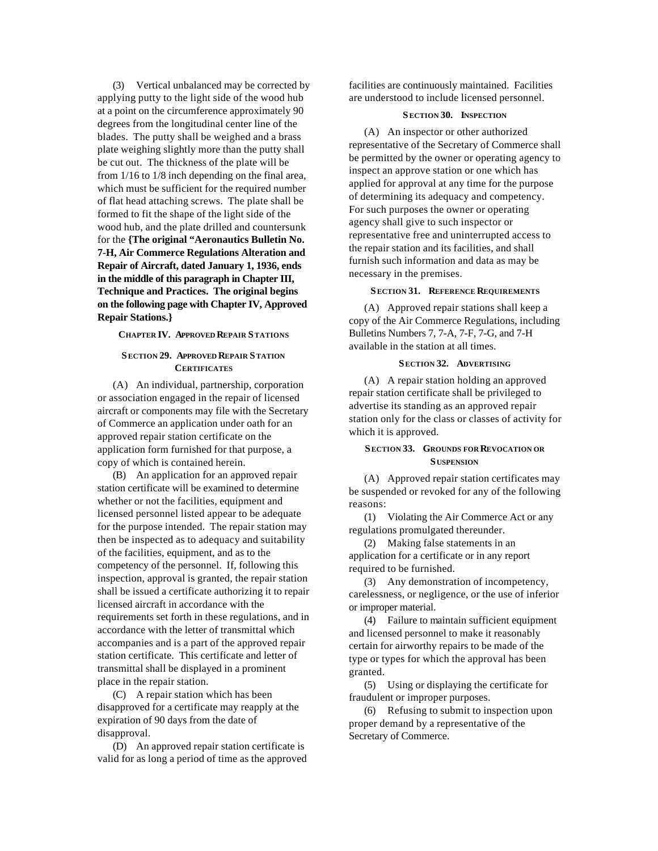(3) Vertical unbalanced may be corrected by applying putty to the light side of the wood hub at a point on the circumference approximately 90 degrees from the longitudinal center line of the blades. The putty shall be weighed and a brass plate weighing slightly more than the putty shall be cut out. The thickness of the plate will be from 1/16 to 1/8 inch depending on the final area, which must be sufficient for the required number of flat head attaching screws. The plate shall be formed to fit the shape of the light side of the wood hub, and the plate drilled and countersunk for the **{The original "Aeronautics Bulletin No. 7-H, Air Commerce Regulations Alteration and Repair of Aircraft, dated January 1, 1936, ends in the middle of this paragraph in Chapter III, Technique and Practices. The original begins on the following page with Chapter IV, Approved Repair Stations.}**

**CHAPTER IV. APPROVED REPAIR STATIONS**

# **SECTION 29. APPROVED REPAIR STATION CERTIFICATES**

(A) An individual, partnership, corporation or association engaged in the repair of licensed aircraft or components may file with the Secretary of Commerce an application under oath for an approved repair station certificate on the application form furnished for that purpose, a copy of which is contained herein.

(B) An application for an approved repair station certificate will be examined to determine whether or not the facilities, equipment and licensed personnel listed appear to be adequate for the purpose intended. The repair station may then be inspected as to adequacy and suitability of the facilities, equipment, and as to the competency of the personnel. If, following this inspection, approval is granted, the repair station shall be issued a certificate authorizing it to repair licensed aircraft in accordance with the requirements set forth in these regulations, and in accordance with the letter of transmittal which accompanies and is a part of the approved repair station certificate. This certificate and letter of transmittal shall be displayed in a prominent place in the repair station.

(C) A repair station which has been disapproved for a certificate may reapply at the expiration of 90 days from the date of disapproval.

(D) An approved repair station certificate is valid for as long a period of time as the approved facilities are continuously maintained. Facilities are understood to include licensed personnel.

#### **SECTION 30. INSPECTION**

(A) An inspector or other authorized representative of the Secretary of Commerce shall be permitted by the owner or operating agency to inspect an approve station or one which has applied for approval at any time for the purpose of determining its adequacy and competency. For such purposes the owner or operating agency shall give to such inspector or representative free and uninterrupted access to the repair station and its facilities, and shall furnish such information and data as may be necessary in the premises.

#### **SECTION 31. REFERENCE REQUIREMENTS**

(A) Approved repair stations shall keep a copy of the Air Commerce Regulations, including Bulletins Numbers 7, 7-A, 7-F, 7-G, and 7-H available in the station at all times.

#### **SECTION 32. ADVERTISING**

(A) A repair station holding an approved repair station certificate shall be privileged to advertise its standing as an approved repair station only for the class or classes of activity for which it is approved.

# **SECTION 33. GROUNDS FOR REVOCATION OR S USPENSION**

(A) Approved repair station certificates may be suspended or revoked for any of the following reasons:

(1) Violating the Air Commerce Act or any regulations promulgated thereunder.

(2) Making false statements in an application for a certificate or in any report required to be furnished.

(3) Any demonstration of incompetency, carelessness, or negligence, or the use of inferior or improper material.

(4) Failure to maintain sufficient equipment and licensed personnel to make it reasonably certain for airworthy repairs to be made of the type or types for which the approval has been granted.

(5) Using or displaying the certificate for fraudulent or improper purposes.

(6) Refusing to submit to inspection upon proper demand by a representative of the Secretary of Commerce.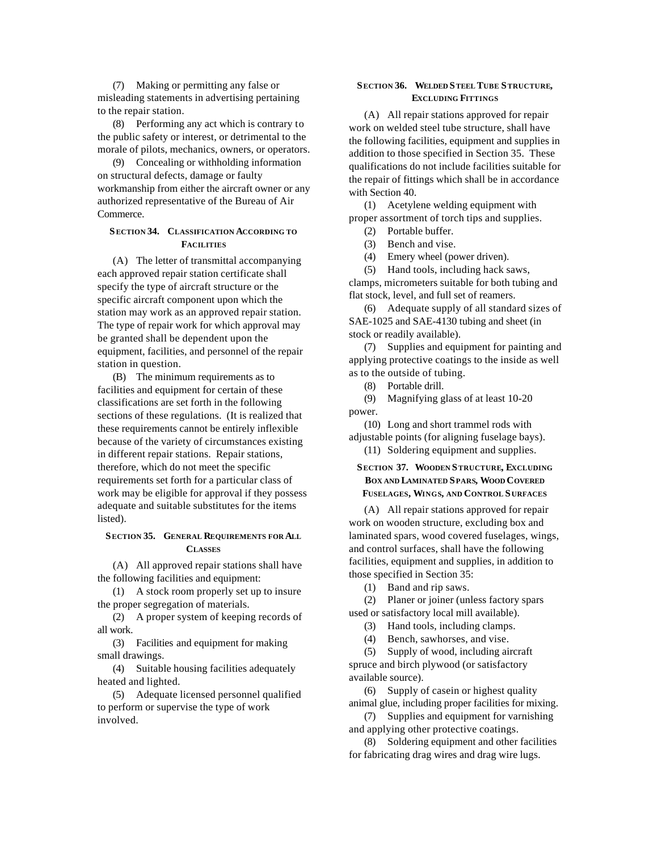(7) Making or permitting any false or misleading statements in advertising pertaining to the repair station.

(8) Performing any act which is contrary to the public safety or interest, or detrimental to the morale of pilots, mechanics, owners, or operators.

(9) Concealing or withholding information on structural defects, damage or faulty workmanship from either the aircraft owner or any authorized representative of the Bureau of Air Commerce.

# **SECTION 34. CLASSIFICATION ACCORDING TO FACILITIES**

(A) The letter of transmittal accompanying each approved repair station certificate shall specify the type of aircraft structure or the specific aircraft component upon which the station may work as an approved repair station. The type of repair work for which approval may be granted shall be dependent upon the equipment, facilities, and personnel of the repair station in question.

(B) The minimum requirements as to facilities and equipment for certain of these classifications are set forth in the following sections of these regulations. (It is realized that these requirements cannot be entirely inflexible because of the variety of circumstances existing in different repair stations. Repair stations, therefore, which do not meet the specific requirements set forth for a particular class of work may be eligible for approval if they possess adequate and suitable substitutes for the items listed).

#### **SECTION 35. GENERAL REQUIREMENTS FOR ALL CLASSES**

(A) All approved repair stations shall have the following facilities and equipment:

(1) A stock room properly set up to insure the proper segregation of materials.

(2) A proper system of keeping records of all work.

(3) Facilities and equipment for making small drawings.

(4) Suitable housing facilities adequately heated and lighted.

(5) Adequate licensed personnel qualified to perform or supervise the type of work involved.

# **SECTION 36. WELDED STEEL TUBE STRUCTURE, EXCLUDING FITTINGS**

(A) All repair stations approved for repair work on welded steel tube structure, shall have the following facilities, equipment and supplies in addition to those specified in Section 35. These qualifications do not include facilities suitable for the repair of fittings which shall be in accordance with Section 40.

(1) Acetylene welding equipment with proper assortment of torch tips and supplies.

- (2) Portable buffer.
- (3) Bench and vise.
- (4) Emery wheel (power driven).

(5) Hand tools, including hack saws, clamps, micrometers suitable for both tubing and flat stock, level, and full set of reamers.

(6) Adequate supply of all standard sizes of SAE-1025 and SAE-4130 tubing and sheet (in stock or readily available).

(7) Supplies and equipment for painting and applying protective coatings to the inside as well as to the outside of tubing.

(8) Portable drill.

(9) Magnifying glass of at least 10-20 power.

(10) Long and short trammel rods with adjustable points (for aligning fuselage bays).

# (11) Soldering equipment and supplies.

# **SECTION 37. WOODEN STRUCTURE, EXCLUDING BOX AND LAMINATED SPARS, WOOD COVERED FUSELAGES, WINGS, AND CONTROL S URFACES**

(A) All repair stations approved for repair work on wooden structure, excluding box and laminated spars, wood covered fuselages, wings, and control surfaces, shall have the following facilities, equipment and supplies, in addition to those specified in Section 35:

(1) Band and rip saws.

(2) Planer or joiner (unless factory spars used or satisfactory local mill available).

(3) Hand tools, including clamps.

(4) Bench, sawhorses, and vise.

(5) Supply of wood, including aircraft spruce and birch plywood (or satisfactory available source).

(6) Supply of casein or highest quality animal glue, including proper facilities for mixing.

(7) Supplies and equipment for varnishing and applying other protective coatings.

(8) Soldering equipment and other facilities for fabricating drag wires and drag wire lugs.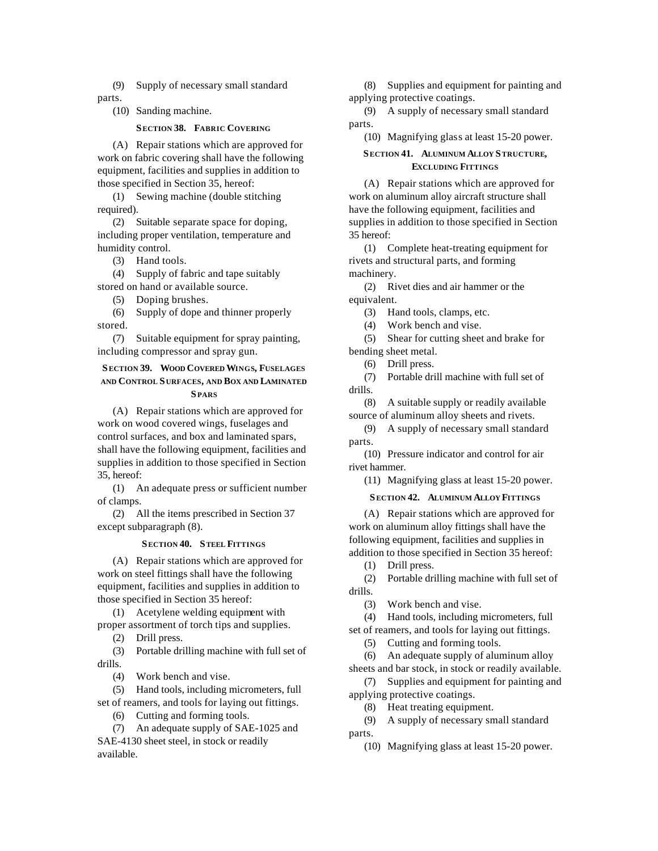(9) Supply of necessary small standard parts.

(10) Sanding machine.

## **SECTION 38. FABRIC COVERING**

(A) Repair stations which are approved for work on fabric covering shall have the following equipment, facilities and supplies in addition to those specified in Section 35, hereof:

(1) Sewing machine (double stitching required).

(2) Suitable separate space for doping, including proper ventilation, temperature and humidity control.

(3) Hand tools.

(4) Supply of fabric and tape suitably stored on hand or available source.

(5) Doping brushes.

(6) Supply of dope and thinner properly stored.

(7) Suitable equipment for spray painting, including compressor and spray gun.

# **SECTION 39. WOOD COVERED WINGS, FUSELAGES AND CONTROL S URFACES, AND BOX AND LAMINATED SPARS**

(A) Repair stations which are approved for work on wood covered wings, fuselages and control surfaces, and box and laminated spars, shall have the following equipment, facilities and supplies in addition to those specified in Section 35, hereof:

(1) An adequate press or sufficient number of clamps.

(2) All the items prescribed in Section 37 except subparagraph (8).

#### **SECTION 40. STEEL FITTINGS**

(A) Repair stations which are approved for work on steel fittings shall have the following equipment, facilities and supplies in addition to those specified in Section 35 hereof:

(1) Acetylene welding equipment with proper assortment of torch tips and supplies.

(2) Drill press.

(3) Portable drilling machine with full set of drills.

(4) Work bench and vise.

(5) Hand tools, including micrometers, full set of reamers, and tools for laying out fittings.

(6) Cutting and forming tools.

(7) An adequate supply of SAE-1025 and SAE-4130 sheet steel, in stock or readily available.

(8) Supplies and equipment for painting and applying protective coatings.

(9) A supply of necessary small standard parts.

(10) Magnifying glass at least 15-20 power.

# **SECTION 41. ALUMINUM ALLOY STRUCTURE, EXCLUDING FITTINGS**

(A) Repair stations which are approved for work on aluminum alloy aircraft structure shall have the following equipment, facilities and supplies in addition to those specified in Section 35 hereof:

(1) Complete heat-treating equipment for rivets and structural parts, and forming machinery.

(2) Rivet dies and air hammer or the equivalent.

(3) Hand tools, clamps, etc.

(4) Work bench and vise.

(5) Shear for cutting sheet and brake for bending sheet metal.

(6) Drill press.

(7) Portable drill machine with full set of drills.

(8) A suitable supply or readily available source of aluminum alloy sheets and rivets.

(9) A supply of necessary small standard parts.

(10) Pressure indicator and control for air rivet hammer.

(11) Magnifying glass at least 15-20 power.

# **SECTION 42. ALUMINUM ALLOY FITTINGS**

(A) Repair stations which are approved for work on aluminum alloy fittings shall have the following equipment, facilities and supplies in addition to those specified in Section 35 hereof:

(1) Drill press.

(2) Portable drilling machine with full set of drills.

(3) Work bench and vise.

(4) Hand tools, including micrometers, full set of reamers, and tools for laying out fittings.

(5) Cutting and forming tools.

(6) An adequate supply of aluminum alloy sheets and bar stock, in stock or readily available.

(7) Supplies and equipment for painting and applying protective coatings.

(8) Heat treating equipment.

(9) A supply of necessary small standard parts.

(10) Magnifying glass at least 15-20 power.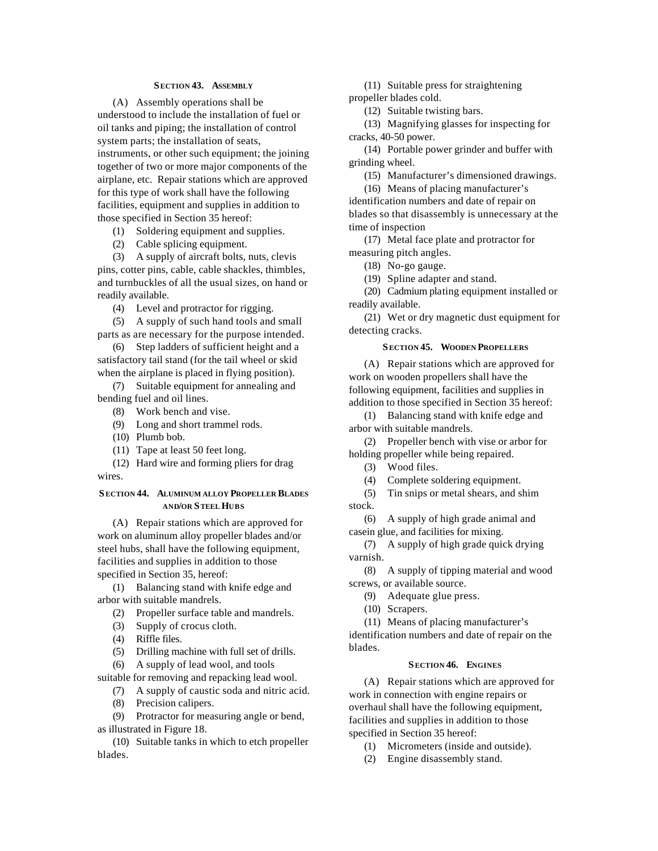## **SECTION 43. ASSEMBLY**

(A) Assembly operations shall be understood to include the installation of fuel or oil tanks and piping; the installation of control system parts; the installation of seats, instruments, or other such equipment; the joining together of two or more major components of the airplane, etc. Repair stations which are approved for this type of work shall have the following facilities, equipment and supplies in addition to those specified in Section 35 hereof:

- (1) Soldering equipment and supplies.
- (2) Cable splicing equipment.

(3) A supply of aircraft bolts, nuts, clevis pins, cotter pins, cable, cable shackles, thimbles, and turnbuckles of all the usual sizes, on hand or readily available.

- (4) Level and protractor for rigging.
- (5) A supply of such hand tools and small parts as are necessary for the purpose intended.

(6) Step ladders of sufficient height and a satisfactory tail stand (for the tail wheel or skid when the airplane is placed in flying position).

(7) Suitable equipment for annealing and bending fuel and oil lines.

- (8) Work bench and vise.
- (9) Long and short trammel rods.
- (10) Plumb bob.
- (11) Tape at least 50 feet long.

(12) Hard wire and forming pliers for drag wires.

# **SECTION 44. ALUMINUM ALLOY PROPELLER BLADES AND/OR STEEL HUBS**

(A) Repair stations which are approved for work on aluminum alloy propeller blades and/or steel hubs, shall have the following equipment, facilities and supplies in addition to those specified in Section 35, hereof:

(1) Balancing stand with knife edge and arbor with suitable mandrels.

- (2) Propeller surface table and mandrels.
- (3) Supply of crocus cloth.
- (4) Riffle files.
- (5) Drilling machine with full set of drills.
- (6) A supply of lead wool, and tools

suitable for removing and repacking lead wool.

- (7) A supply of caustic soda and nitric acid.
- (8) Precision calipers.

(9) Protractor for measuring angle or bend, as illustrated in Figure 18.

(10) Suitable tanks in which to etch propeller blades.

(11) Suitable press for straightening

propeller blades cold.

(12) Suitable twisting bars.

(13) Magnifying glasses for inspecting for cracks, 40-50 power.

(14) Portable power grinder and buffer with grinding wheel.

(15) Manufacturer's dimensioned drawings.

(16) Means of placing manufacturer's

identification numbers and date of repair on blades so that disassembly is unnecessary at the time of inspection

(17) Metal face plate and protractor for measuring pitch angles.

(18) No-go gauge.

(19) Spline adapter and stand.

(20) Cadmium plating equipment installed or readily available.

(21) Wet or dry magnetic dust equipment for detecting cracks.

#### **SECTION 45. WOODEN PROPELLERS**

(A) Repair stations which are approved for work on wooden propellers shall have the following equipment, facilities and supplies in addition to those specified in Section 35 hereof:

(1) Balancing stand with knife edge and arbor with suitable mandrels.

(2) Propeller bench with vise or arbor for holding propeller while being repaired.

(3) Wood files.

(4) Complete soldering equipment.

(5) Tin snips or metal shears, and shim

stock.

(6) A supply of high grade animal and casein glue, and facilities for mixing.

(7) A supply of high grade quick drying varnish.

(8) A supply of tipping material and wood screws, or available source.

- (9) Adequate glue press.
- (10) Scrapers.

(11) Means of placing manufacturer's identification numbers and date of repair on the blades.

#### **SECTION 46. ENGINES**

(A) Repair stations which are approved for work in connection with engine repairs or overhaul shall have the following equipment, facilities and supplies in addition to those specified in Section 35 hereof:

(1) Micrometers (inside and outside).

(2) Engine disassembly stand.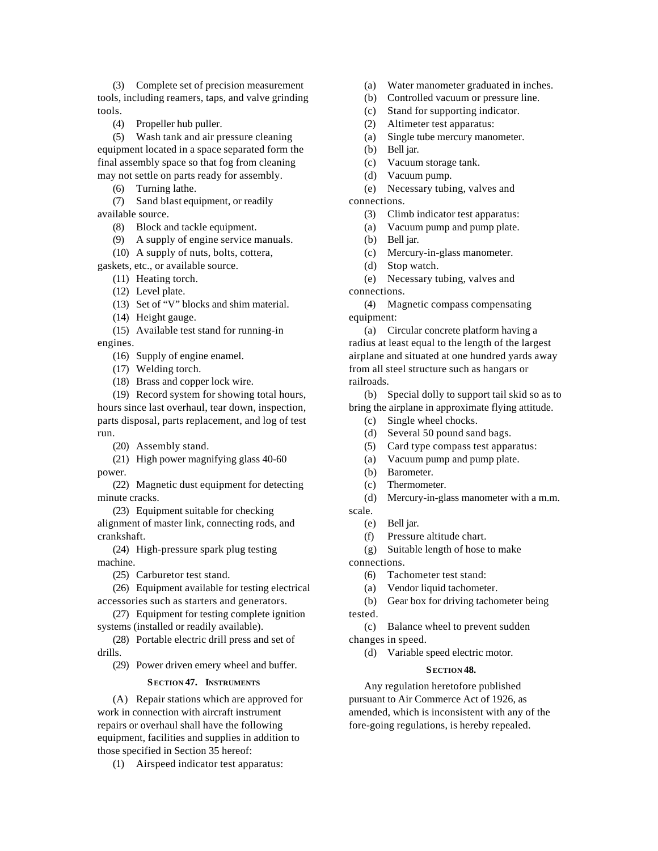(3) Complete set of precision measurement tools, including reamers, taps, and valve grinding tools.

(4) Propeller hub puller.

(5) Wash tank and air pressure cleaning equipment located in a space separated form the

final assembly space so that fog from cleaning may not settle on parts ready for assembly.

(6) Turning lathe.

(7) Sand blast equipment, or readily available source.

(8) Block and tackle equipment.

- (9) A supply of engine service manuals.
- (10) A supply of nuts, bolts, cottera,
- gaskets, etc., or available source.

(11) Heating torch.

(12) Level plate.

(13) Set of "V" blocks and shim material.

(14) Height gauge.

(15) Available test stand for running-in engines.

(16) Supply of engine enamel.

- (17) Welding torch.
- (18) Brass and copper lock wire.

(19) Record system for showing total hours, hours since last overhaul, tear down, inspection, parts disposal, parts replacement, and log of test run.

(20) Assembly stand.

(21) High power magnifying glass 40-60 power.

(22) Magnetic dust equipment for detecting minute cracks.

(23) Equipment suitable for checking alignment of master link, connecting rods, and crankshaft.

(24) High-pressure spark plug testing machine.

(25) Carburetor test stand.

(26) Equipment available for testing electrical accessories such as starters and generators.

(27) Equipment for testing complete ignition systems (installed or readily available).

(28) Portable electric drill press and set of drills.

(29) Power driven emery wheel and buffer.

# **SECTION 47. INSTRUMENTS**

(A) Repair stations which are approved for work in connection with aircraft instrument repairs or overhaul shall have the following equipment, facilities and supplies in addition to those specified in Section 35 hereof:

(1) Airspeed indicator test apparatus:

(a) Water manometer graduated in inches.

- (b) Controlled vacuum or pressure line.
- (c) Stand for supporting indicator.
- (2) Altimeter test apparatus:
- (a) Single tube mercury manometer.
- (b) Bell jar.
- (c) Vacuum storage tank.
- (d) Vacuum pump.

(e) Necessary tubing, valves and connections.

- (3) Climb indicator test apparatus:
- (a) Vacuum pump and pump plate.
- (b) Bell jar.
- (c) Mercury-in-glass manometer.
- (d) Stop watch.
- (e) Necessary tubing, valves and

connections.

(4) Magnetic compass compensating equipment:

(a) Circular concrete platform having a radius at least equal to the length of the largest airplane and situated at one hundred yards away from all steel structure such as hangars or railroads.

(b) Special dolly to support tail skid so as to bring the airplane in approximate flying attitude.

- (c) Single wheel chocks.
- (d) Several 50 pound sand bags.
- (5) Card type compass test apparatus:
- (a) Vacuum pump and pump plate.
- (b) Barometer.
- (c) Thermometer.
- (d) Mercury-in-glass manometer with a m.m.
- scale.
	- (e) Bell jar.
	- (f) Pressure altitude chart.
	- (g) Suitable length of hose to make

connections.

- (6) Tachometer test stand:
- (a) Vendor liquid tachometer.

(b) Gear box for driving tachometer being tested.

(c) Balance wheel to prevent sudden changes in speed.

(d) Variable speed electric motor.

#### **SECTION 48.**

Any regulation heretofore published pursuant to Air Commerce Act of 1926, as amended, which is inconsistent with any of the fore-going regulations, is hereby repealed.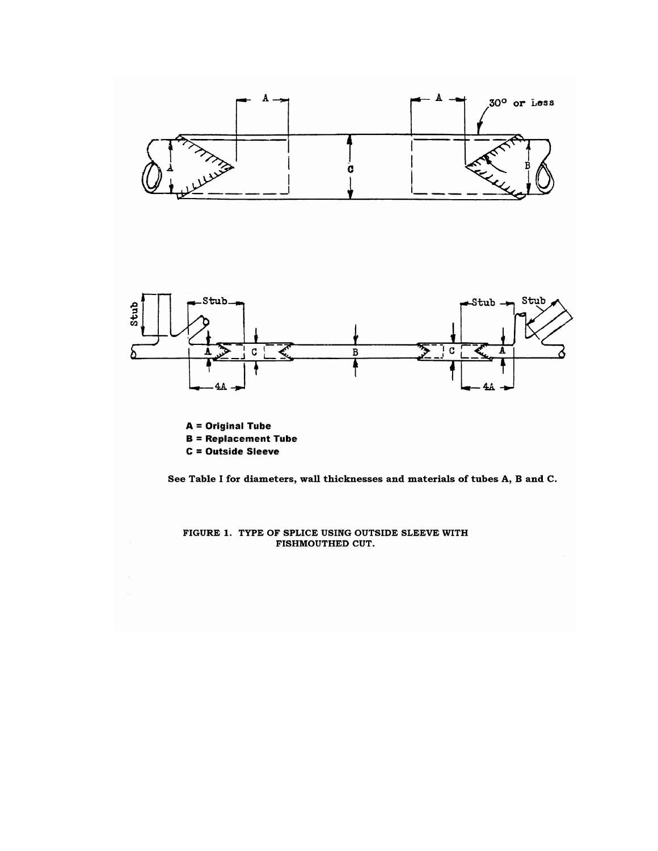

See Table I for diameters, wall thicknesses and materials of tubes A, B and C.

FIGURE 1. TYPE OF SPLICE USING OUTSIDE SLEEVE WITH FISHMOUTHED CUT.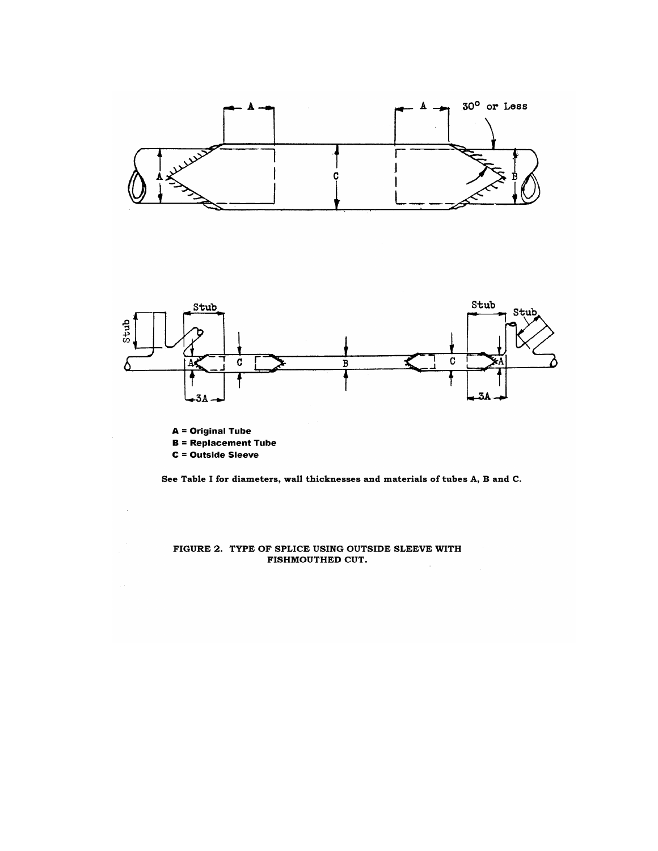

C = Outside Sleeve

 $\cdot$ 

See Table I for diameters, wall thicknesses and materials of tubes A, B and C.

FIGURE 2. TYPE OF SPLICE USING OUTSIDE SLEEVE WITH FISHMOUTHED CUT.  $\bar{A}$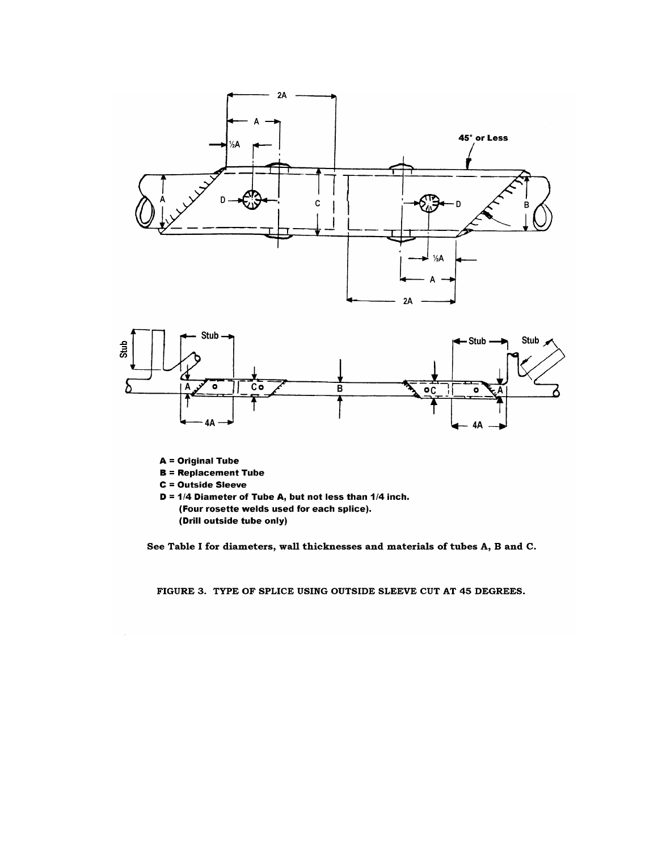

- **A** = Original Tube
- **B** = Replacement Tube
- **C** = Outside Sleeve
- $D = 1/4$  Diameter of Tube A, but not less than  $1/4$  inch. (Four rosette welds used for each splice). (Drill outside tube only)

See Table I for diameters, wall thicknesses and materials of tubes A, B and C.

FIGURE 3. TYPE OF SPLICE USING OUTSIDE SLEEVE CUT AT 45 DEGREES.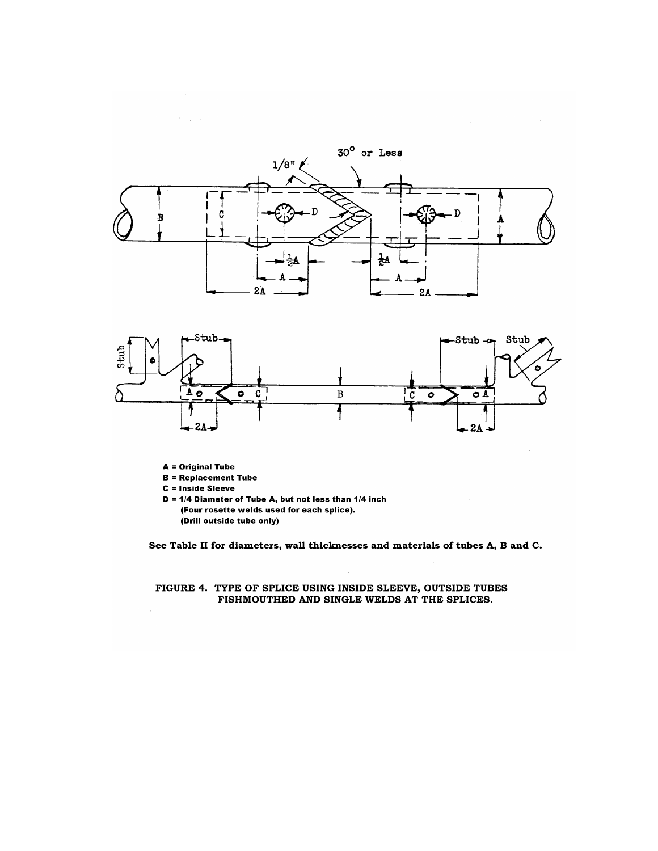





- **A** = Original Tube
- $B = Replacement$  Tube

C = Inside Sleeve

 $D = 1/4$  Diameter of Tube A, but not less than  $1/4$  inch (Four rosette welds used for each splice). (Drill outside tube only)

See Table II for diameters, wall thicknesses and materials of tubes A, B and C.

 $\lambda$ 

# FIGURE 4. TYPE OF SPLICE USING INSIDE SLEEVE, OUTSIDE TUBES<br>FISHMOUTHED AND SINGLE WELDS AT THE SPLICES.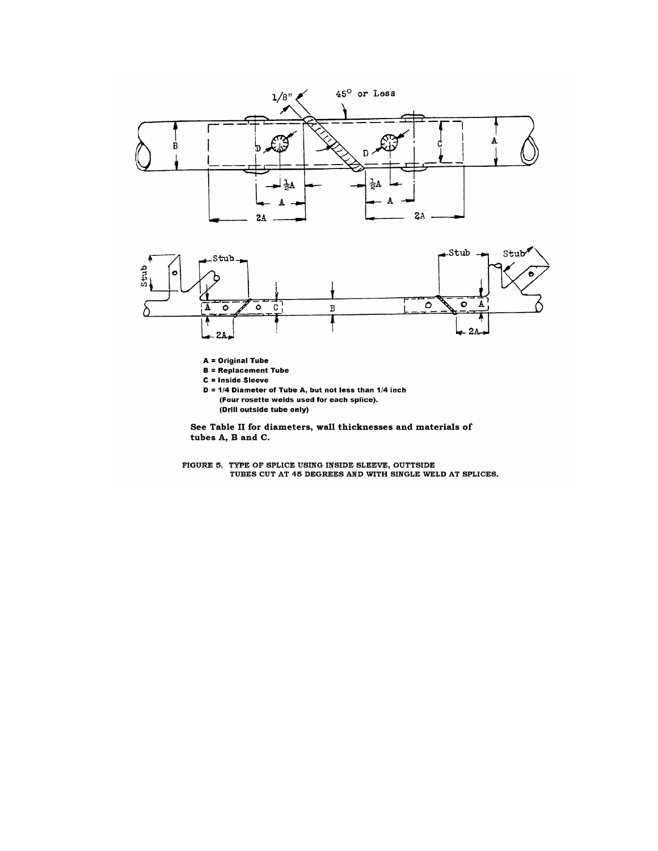



A = Original Tube

- **B** = Replacement Tube
- C = Inside Sleeve
- $D = 1/4$  Diameter of Tube A, but not less than  $1/4$  inch (Four rosette welds used for each splice). (Drill outside tube only)

See Table II for diameters, wall thicknesses and materials of tubes A, B and C.

FIGURE 5. TYPE OF SPLICE USING INSIDE SLEEVE, OUTTSIDE TUBES CUT AT 45 DEGREES AND WITH SINGLE WELD AT SPLICES.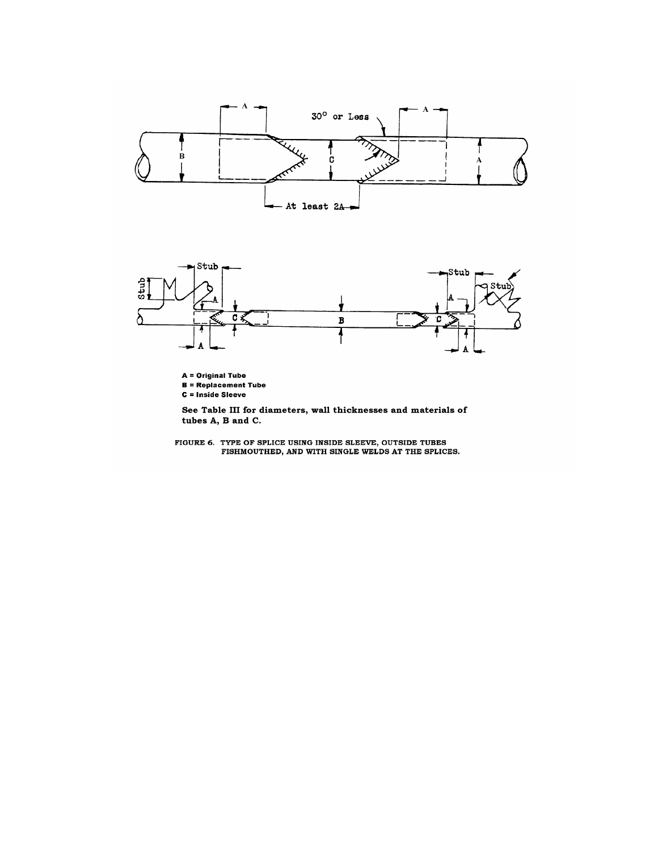



A = Original Tube **B** = Replacement Tube

C = Inside Sleeve

See Table III for diameters, wall thicknesses and materials of tubes A, B and C.

FIGURE 6. TYPE OF SPLICE USING INSIDE SLEEVE, OUTSIDE TUBES<br>FISHMOUTHED, AND WITH SINGLE WELDS AT THE SPLICES.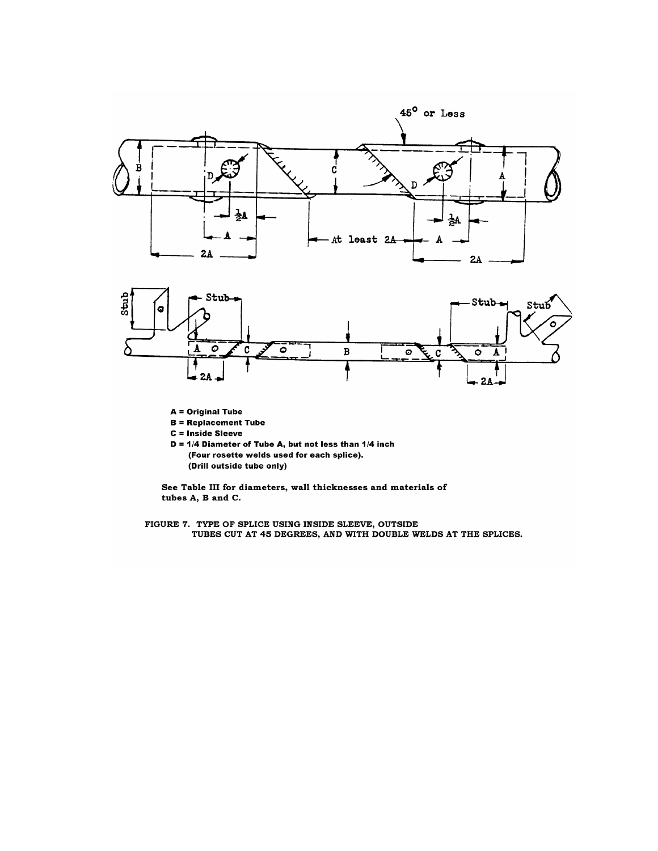



- **A** = Original Tube
- **B** = Replacement Tube
- C = Inside Sleeve

 $D = 1/4$  Diameter of Tube A, but not less than  $1/4$  inch (Four rosette welds used for each splice). (Drill outside tube only)

See Table III for diameters, wall thicknesses and materials of tubes A, B and C.

FIGURE 7. TYPE OF SPLICE USING INSIDE SLEEVE, OUTSIDE<br>TUBES CUT AT 45 DEGREES, AND WITH DOUBLE WELDS AT THE SPLICES.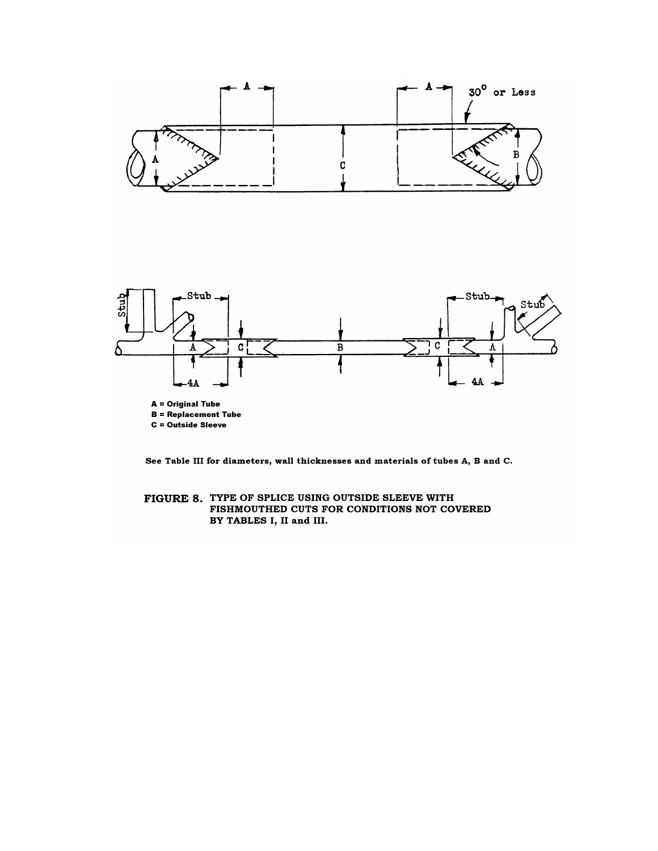

See Table III for diameters, wall thicknesses and materials of tubes A, B and C.

FIGURE 8. TYPE OF SPLICE USING OUTSIDE SLEEVE WITH FISHMOUTHED CUTS FOR CONDITIONS NOT COVERED BY TABLES I, II and III.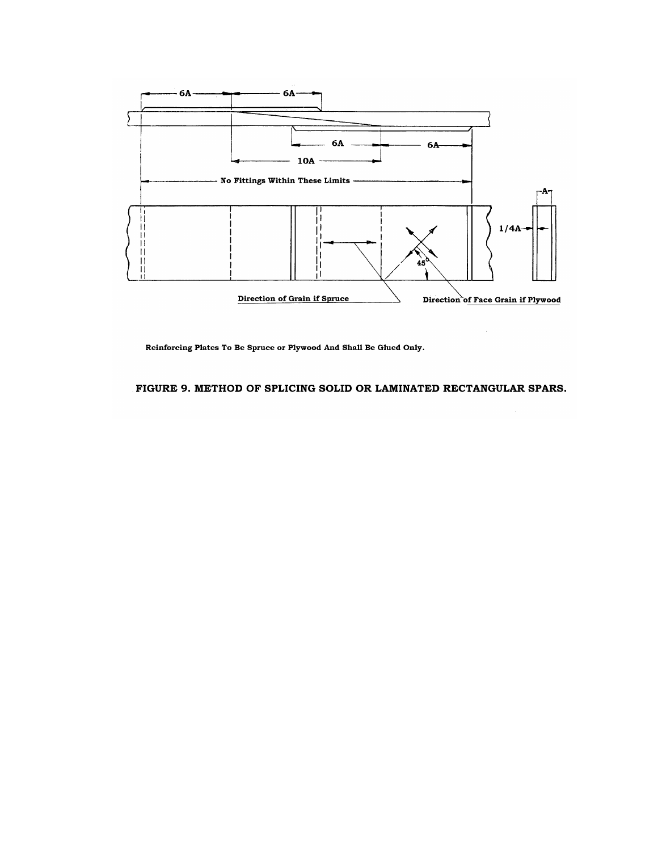

Reinforcing Plates To Be Spruce or Plywood And Shall Be Glued Only.

FIGURE 9. METHOD OF SPLICING SOLID OR LAMINATED RECTANGULAR SPARS.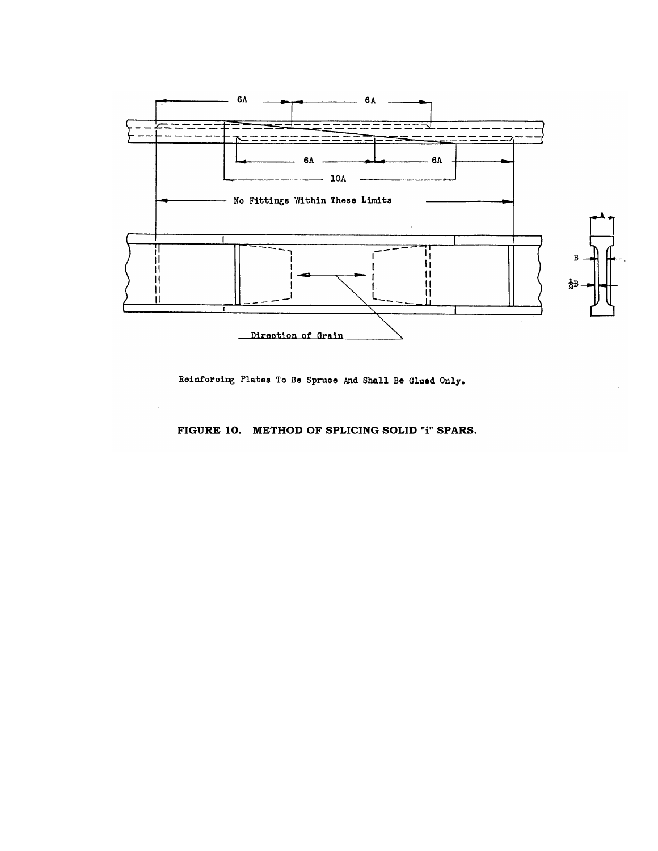

Reinforcing Plates To Be Spruce And Shall Be Glued Only.

FIGURE 10. METHOD OF SPLICING SOLID "i" SPARS.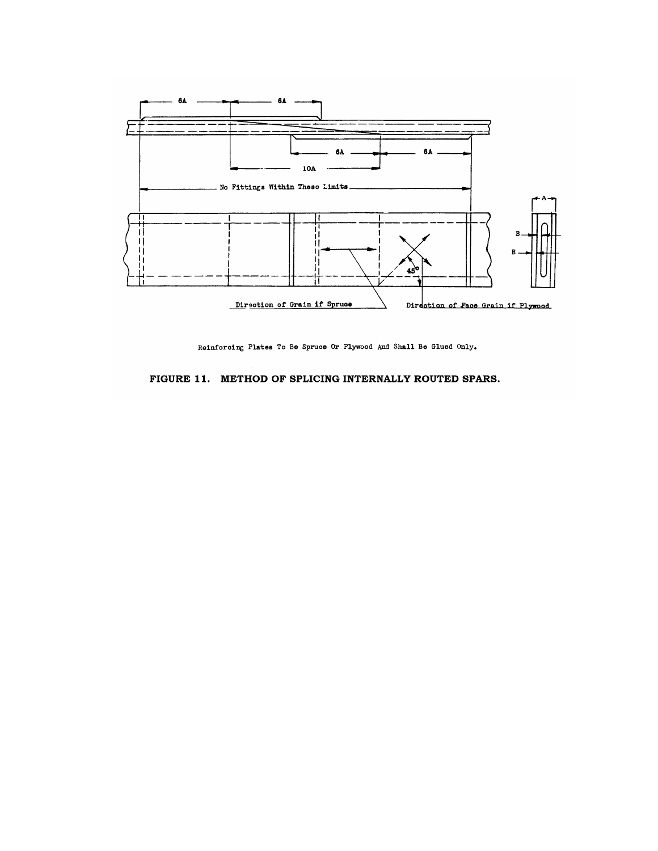

Reinforcing Plates To Be Spruce Or Plywood And Shall Be Glued Only.

# FIGURE 11. METHOD OF SPLICING INTERNALLY ROUTED SPARS.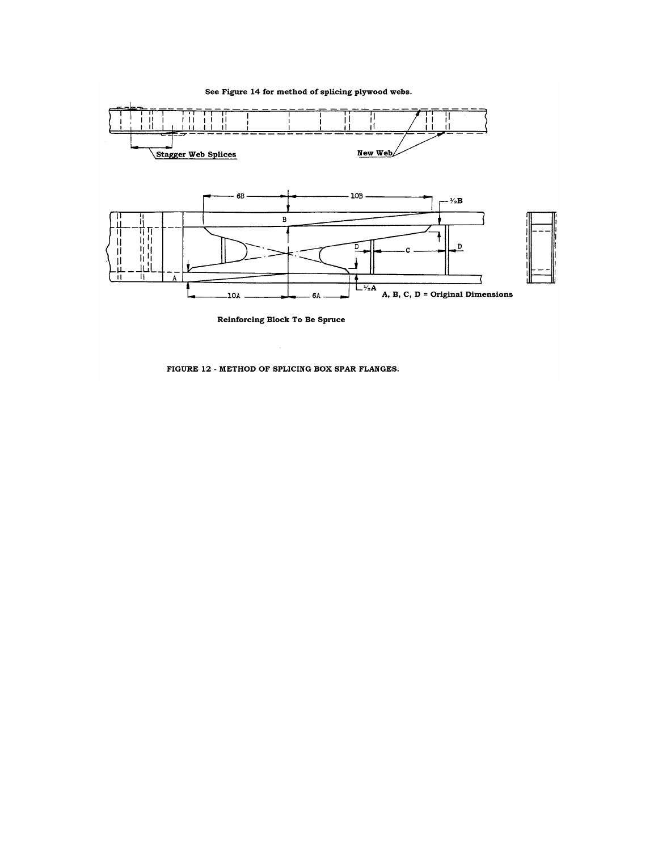See Figure 14 for method of splicing plywood webs.



**Reinforcing Block To Be Spruce** 

FIGURE 12 - METHOD OF SPLICING BOX SPAR FLANGES.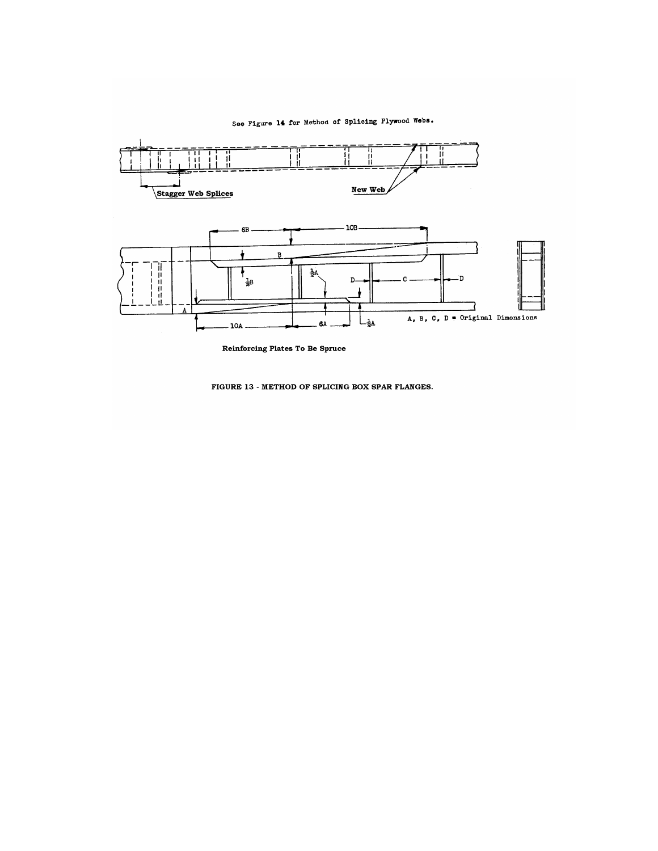# See Figure 14 for Method of Splicing Plywood Webs.



**Reinforcing Plates To Be Spruce** 

FIGURE 13 - METHOD OF SPLICING BOX SPAR FLANGES.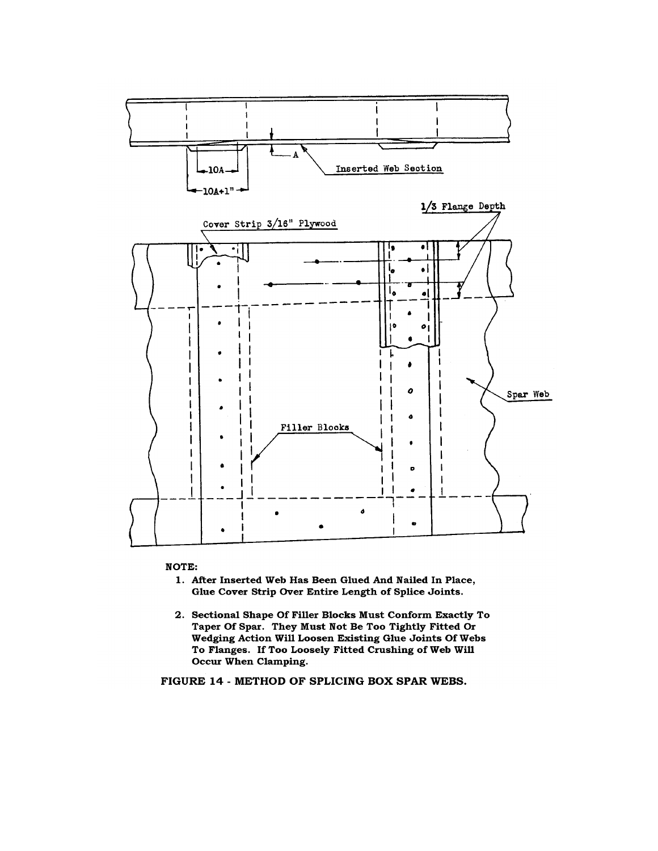

**NOTE:** 

- 1. After Inserted Web Has Been Glued And Nailed In Place, Glue Cover Strip Over Entire Length of Splice Joints.
- 2. Sectional Shape Of Filler Blocks Must Conform Exactly To Taper Of Spar. They Must Not Be Too Tightly Fitted Or Wedging Action Will Loosen Existing Glue Joints Of Webs To Flanges. If Too Loosely Fitted Crushing of Web Will Occur When Clamping.

FIGURE 14 - METHOD OF SPLICING BOX SPAR WEBS.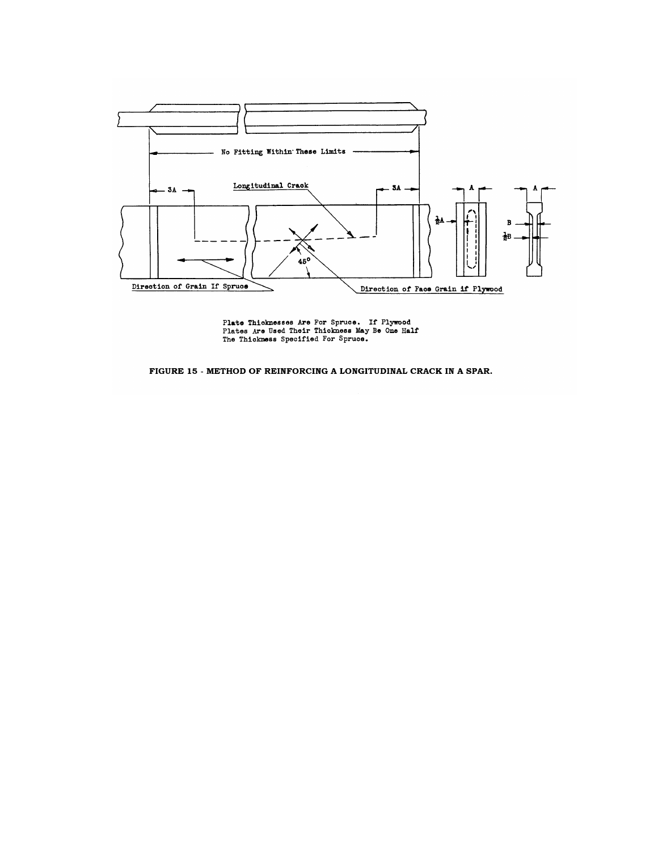

Plate Thicknesses Are For Spruce. If Plywood<br>Plates Are Used Their Thickness May Be One Half<br>The Thickness Specified For Spruce.

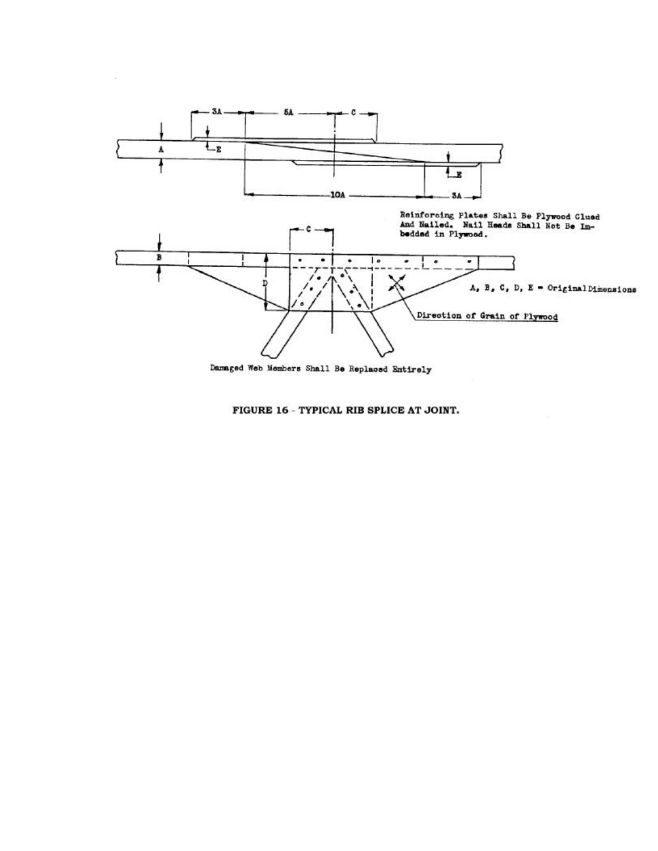

Damaged Web Members Shall Be Replaced Entirely

FIGURE 16 - TYPICAL RIB SPLICE AT JOINT.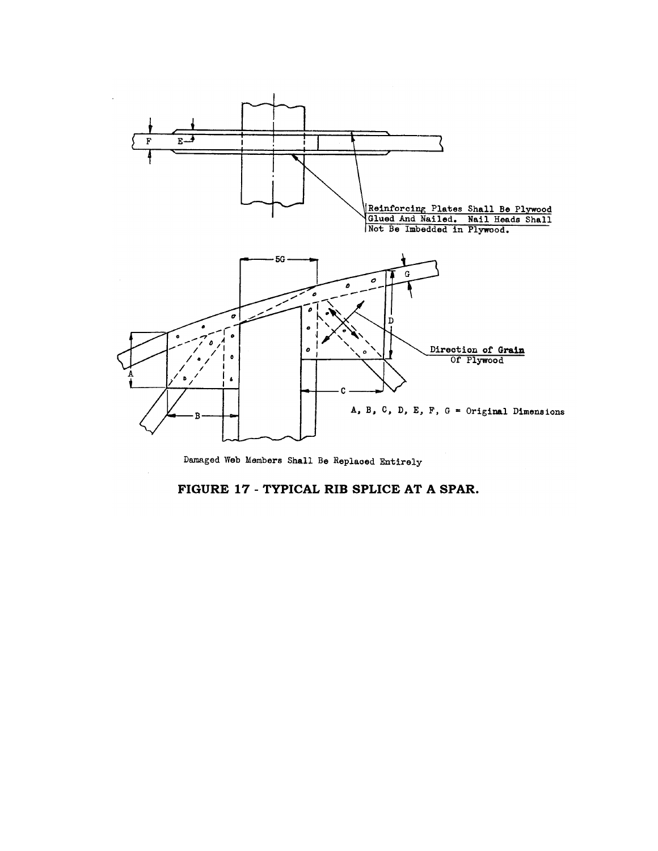

Damaged Web Members Shall Be Replaced Entirely

# FIGURE 17 - TYPICAL RIB SPLICE AT A SPAR.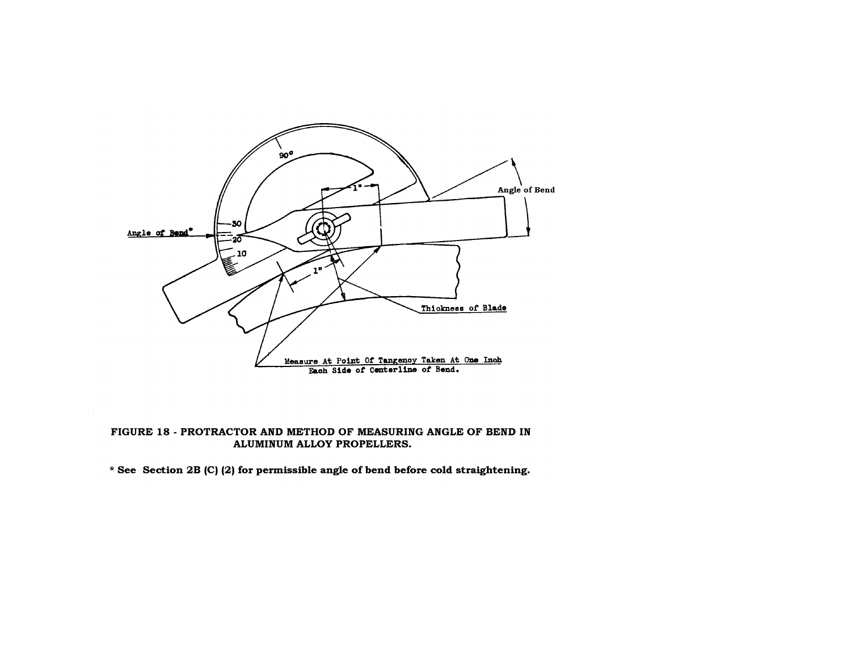

# FIGURE 18 - PROTRACTOR AND METHOD OF MEASURING ANGLE OF BEND IN ALUMINUM ALLOY PROPELLERS.

\* See Section 2B (C) (2) for permissible angle of bend before cold straightening.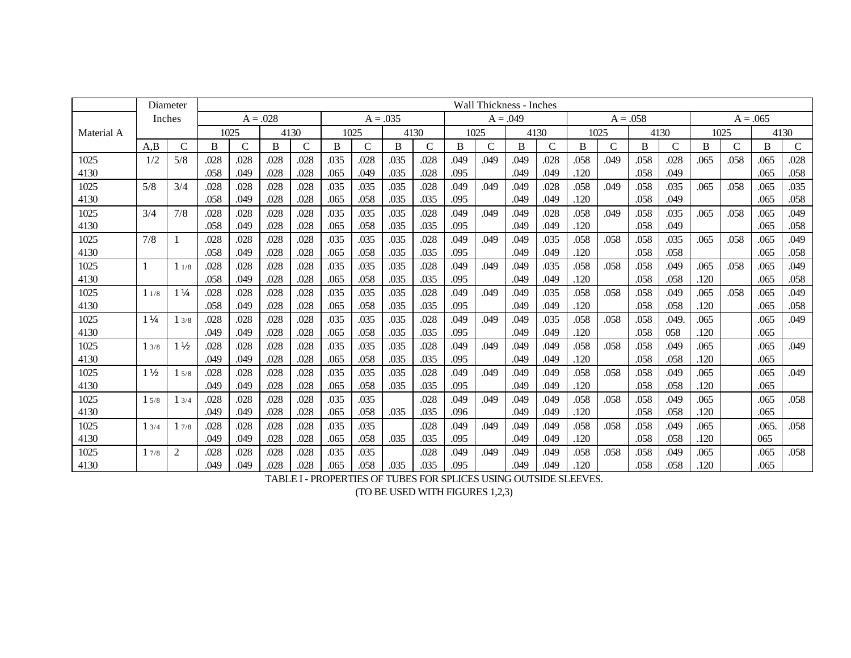|            |                | Diameter       |      |      |            |               |      |              |            |              | Wall Thickness - Inches |               |            |      |      |               |            |      |      |              |            |              |
|------------|----------------|----------------|------|------|------------|---------------|------|--------------|------------|--------------|-------------------------|---------------|------------|------|------|---------------|------------|------|------|--------------|------------|--------------|
|            | Inches         |                |      |      | $A = .028$ |               |      |              | $A = .035$ |              |                         |               | $A = .049$ |      |      |               | $A = .058$ |      |      |              | $A = .065$ |              |
| Material A |                |                |      | 1025 |            | 4130          |      | 1025         |            | 4130         |                         | 1025          |            | 4130 |      | 1025          |            | 4130 |      | 1025         |            | 4130         |
|            | A,B            | $\mathcal{C}$  | B    | C    | B          | $\mathcal{C}$ | B    | $\mathsf{C}$ | B          | $\mathsf{C}$ | B                       | $\mathcal{C}$ | B          | C    | B    | $\mathcal{C}$ | B          | C    | B    | $\mathsf{C}$ | B          | $\mathsf{C}$ |
| 1025       | 1/2            | 5/8            | .028 | .028 | .028       | .028          | .035 | .028         | .035       | .028         | .049                    | .049          | .049       | .028 | .058 | .049          | .058       | .028 | .065 | .058         | .065       | .028         |
| 4130       |                |                | .058 | .049 | .028       | .028          | .065 | .049         | .035       | .028         | .095                    |               | .049       | .049 | .120 |               | .058       | .049 |      |              | .065       | .058         |
| 1025       | 5/8            | 3/4            | .028 | .028 | .028       | .028          | .035 | .035         | .035       | .028         | .049                    | .049          | .049       | .028 | .058 | .049          | .058       | .035 | .065 | .058         | .065       | .035         |
| 4130       |                |                | .058 | .049 | .028       | .028          | .065 | .058         | .035       | .035         | .095                    |               | .049       | .049 | .120 |               | .058       | .049 |      |              | .065       | .058         |
| 1025       | 3/4            | 7/8            | .028 | .028 | .028       | .028          | .035 | .035         | .035       | .028         | .049                    | .049          | .049       | .028 | .058 | .049          | .058       | .035 | .065 | .058         | .065       | .049         |
| 4130       |                |                | .058 | .049 | .028       | .028          | .065 | .058         | .035       | .035         | .095                    |               | .049       | .049 | .120 |               | .058       | .049 |      |              | .065       | .058         |
| 1025       | 7/8            |                | .028 | .028 | .028       | .028          | .035 | .035         | .035       | .028         | .049                    | .049          | .049       | .035 | .058 | .058          | .058       | .035 | .065 | .058         | .065       | .049         |
| 4130       |                |                | .058 | .049 | .028       | .028          | .065 | .058         | .035       | .035         | .095                    |               | .049       | .049 | .120 |               | .058       | .058 |      |              | .065       | .058         |
| 1025       |                | 11/8           | .028 | .028 | .028       | .028          | .035 | .035         | .035       | .028         | .049                    | .049          | .049       | .035 | .058 | .058          | .058       | .049 | .065 | .058         | .065       | .049         |
| 4130       |                |                | .058 | .049 | .028       | .028          | .065 | .058         | .035       | .035         | .095                    |               | .049       | .049 | .120 |               | .058       | .058 | .120 |              | .065       | .058         |
| 1025       | 11/8           | $1\frac{1}{4}$ | .028 | .028 | .028       | .028          | .035 | .035         | .035       | .028         | .049                    | .049          | .049       | .035 | .058 | .058          | .058       | .049 | .065 | .058         | .065       | .049         |
| 4130       |                |                | .058 | .049 | .028       | .028          | .065 | .058         | .035       | .035         | .095                    |               | .049       | .049 | .120 |               | .058       | .058 | .120 |              | .065       | .058         |
| 1025       | $1\frac{1}{4}$ | 13/8           | .028 | .028 | .028       | .028          | .035 | .035         | .035       | .028         | .049                    | .049          | .049       | .035 | .058 | .058          | .058       | .049 | .065 |              | .065       | .049         |
| 4130       |                |                | .049 | .049 | .028       | .028          | .065 | .058         | .035       | .035         | .095                    |               | .049       | .049 | .120 |               | .058       | 058  | .120 |              | .065       |              |
| 1025       | 13/8           | $1\frac{1}{2}$ | .028 | .028 | .028       | .028          | .035 | .035         | .035       | .028         | .049                    | .049          | .049       | .049 | .058 | .058          | .058       | .049 | .065 |              | .065       | .049         |
| 4130       |                |                | .049 | .049 | .028       | .028          | .065 | .058         | .035       | .035         | .095                    |               | .049       | .049 | .120 |               | .058       | .058 | .120 |              | .065       |              |
| 1025       | $1\frac{1}{2}$ | 15/8           | .028 | .028 | .028       | .028          | .035 | .035         | .035       | .028         | .049                    | .049          | .049       | .049 | .058 | .058          | .058       | .049 | .065 |              | .065       | .049         |
| 4130       |                |                | .049 | .049 | .028       | .028          | .065 | .058         | .035       | .035         | .095                    |               | .049       | .049 | .120 |               | .058       | .058 | .120 |              | .065       |              |
| 1025       | 15/8           | 13/4           | .028 | .028 | .028       | .028          | .035 | .035         |            | .028         | .049                    | .049          | .049       | .049 | .058 | .058          | .058       | .049 | .065 |              | .065       | .058         |
| 4130       |                |                | .049 | .049 | .028       | .028          | .065 | .058         | .035       | .035         | .096                    |               | .049       | .049 | .120 |               | .058       | .058 | .120 |              | .065       |              |
| 1025       | 13/4           | 17/8           | .028 | .028 | .028       | .028          | .035 | .035         |            | .028         | .049                    | .049          | .049       | .049 | .058 | .058          | .058       | .049 | .065 |              | .065.      | .058         |
| 4130       |                |                | .049 | .049 | .028       | .028          | .065 | .058         | .035       | .035         | .095                    |               | .049       | .049 | .120 |               | .058       | .058 | .120 |              | 065        |              |
| 1025       | 17/8           | $\overline{2}$ | .028 | .028 | .028       | .028          | .035 | .035         |            | .028         | .049                    | .049          | .049       | .049 | .058 | .058          | .058       | .049 | .065 |              | .065       | .058         |
| 4130       |                |                | .049 | .049 | .028       | .028          | .065 | .058         | .035       | .035         | .095                    |               | .049       | .049 | .120 |               | .058       | .058 | .120 |              | .065       |              |

TABLE I - PROPERTIES OF TUBES FOR SPLICES USING OUTSIDE SLEEVES.

(TO BE USED WITH FIGURES 1,2,3)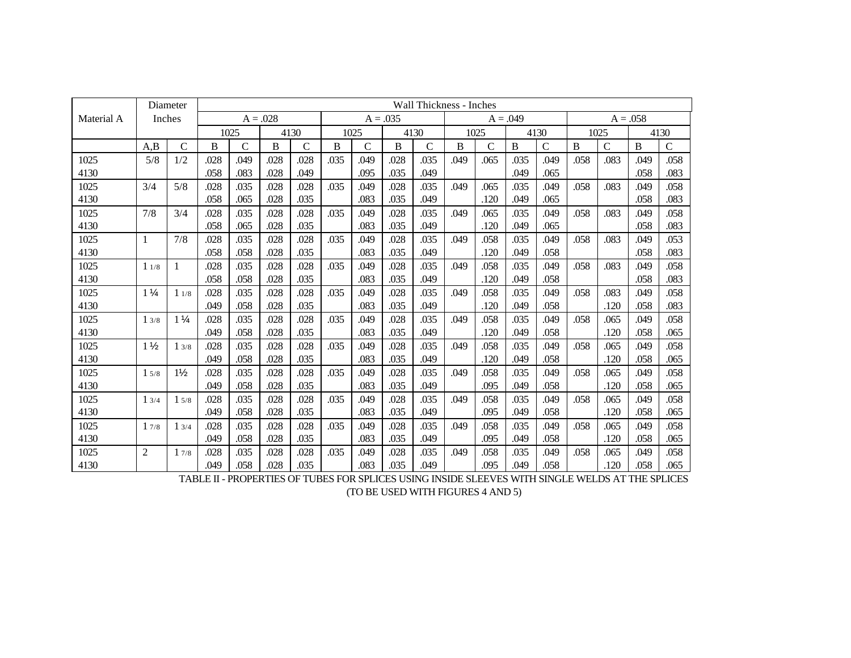|            |                | Diameter       | <b>Wall Thickness - Inches</b> |              |      |              |            |              |      |              |            |      |      |               |            |               |          |              |
|------------|----------------|----------------|--------------------------------|--------------|------|--------------|------------|--------------|------|--------------|------------|------|------|---------------|------------|---------------|----------|--------------|
| Material A | Inches         |                | $A = .028$                     |              |      |              | $A = .035$ |              |      |              | $A = .049$ |      |      |               | $A = .058$ |               |          |              |
|            |                |                |                                | 1025         | 4130 |              |            | 1025         |      | 4130         |            | 1025 | 4130 |               | 1025       |               | 4130     |              |
|            | A,B            | $\mathsf{C}$   | B                              | $\mathsf{C}$ | B    | $\mathsf{C}$ | B          | $\mathsf{C}$ | B    | $\mathsf{C}$ | B          | C    | B    | $\mathcal{C}$ | B          | $\mathcal{C}$ | $\bf{B}$ | $\mathsf{C}$ |
| 1025       | 5/8            | 1/2            | .028                           | .049         | .028 | .028         | .035       | .049         | .028 | .035         | .049       | .065 | .035 | .049          | .058       | .083          | .049     | .058         |
| 4130       |                |                | .058                           | .083         | .028 | .049         |            | .095         | .035 | .049         |            |      | .049 | .065          |            |               | .058     | .083         |
| 1025       | 3/4            | 5/8            | .028                           | .035         | .028 | .028         | .035       | .049         | .028 | .035         | .049       | .065 | .035 | .049          | .058       | .083          | .049     | .058         |
| 4130       |                |                | .058                           | .065         | .028 | .035         |            | .083         | .035 | .049         |            | .120 | .049 | .065          |            |               | .058     | .083         |
| 1025       | 7/8            | 3/4            | .028                           | .035         | .028 | .028         | .035       | .049         | .028 | .035         | .049       | .065 | .035 | .049          | .058       | .083          | .049     | .058         |
| 4130       |                |                | .058                           | .065         | .028 | .035         |            | .083         | .035 | .049         |            | .120 | .049 | .065          |            |               | .058     | .083         |
| 1025       | 1              | 7/8            | .028                           | .035         | .028 | .028         | .035       | .049         | .028 | .035         | .049       | .058 | .035 | .049          | .058       | .083          | .049     | .053         |
| 4130       |                |                | .058                           | .058         | .028 | .035         |            | .083         | .035 | .049         |            | .120 | .049 | .058          |            |               | .058     | .083         |
| 1025       | 11/8           | $\mathbf{1}$   | .028                           | .035         | .028 | .028         | .035       | .049         | .028 | .035         | .049       | .058 | .035 | .049          | .058       | .083          | .049     | .058         |
| 4130       |                |                | .058                           | .058         | .028 | .035         |            | .083         | .035 | .049         |            | .120 | .049 | .058          |            |               | .058     | .083         |
| 1025       | $1\frac{1}{4}$ | 11/8           | .028                           | .035         | .028 | .028         | .035       | .049         | .028 | .035         | .049       | .058 | .035 | .049          | .058       | .083          | .049     | .058         |
| 4130       |                |                | .049                           | .058         | .028 | .035         |            | .083         | .035 | .049         |            | .120 | .049 | .058          |            | .120          | .058     | .083         |
| 1025       | 13/8           | $1\frac{1}{4}$ | .028                           | .035         | .028 | .028         | .035       | .049         | .028 | .035         | .049       | .058 | .035 | .049          | .058       | .065          | .049     | .058         |
| 4130       |                |                | .049                           | .058         | .028 | .035         |            | .083         | .035 | .049         |            | .120 | .049 | .058          |            | .120          | .058     | .065         |
| 1025       | $1\frac{1}{2}$ | 13/8           | .028                           | .035         | .028 | .028         | .035       | .049         | .028 | .035         | .049       | .058 | .035 | .049          | .058       | .065          | .049     | .058         |
| 4130       |                |                | .049                           | .058         | .028 | .035         |            | .083         | .035 | .049         |            | .120 | .049 | .058          |            | .120          | .058     | .065         |
| 1025       | 15/8           | $1\frac{1}{2}$ | .028                           | .035         | .028 | .028         | .035       | .049         | .028 | .035         | .049       | .058 | .035 | .049          | .058       | .065          | .049     | .058         |
| 4130       |                |                | .049                           | .058         | .028 | .035         |            | .083         | .035 | .049         |            | .095 | .049 | .058          |            | .120          | .058     | .065         |
| 1025       | 13/4           | 15/8           | .028                           | .035         | .028 | .028         | .035       | .049         | .028 | .035         | .049       | .058 | .035 | .049          | .058       | .065          | .049     | .058         |
| 4130       |                |                | .049                           | .058         | .028 | .035         |            | .083         | .035 | .049         |            | .095 | .049 | .058          |            | .120          | .058     | .065         |
| 1025       | 17/8           | 13/4           | .028                           | .035         | .028 | .028         | .035       | .049         | .028 | .035         | .049       | .058 | .035 | .049          | .058       | .065          | .049     | .058         |
| 4130       |                |                | .049                           | .058         | .028 | .035         |            | .083         | .035 | .049         |            | .095 | .049 | .058          |            | .120          | .058     | .065         |
| 1025       | 2              | 17/8           | .028                           | .035         | .028 | .028         | .035       | .049         | .028 | .035         | .049       | .058 | .035 | .049          | .058       | .065          | .049     | .058         |
| 4130       |                |                | .049                           | .058         | .028 | .035         |            | .083         | .035 | .049         |            | .095 | .049 | .058          |            | .120          | .058     | .065         |

TABLE II - PROPERTIES OF TUBES FOR SPLICES USING INSIDE SLEEVES WITH SINGLE WELDS AT THE SPLICES (TO BE USED WITH FIGURES 4 AND 5)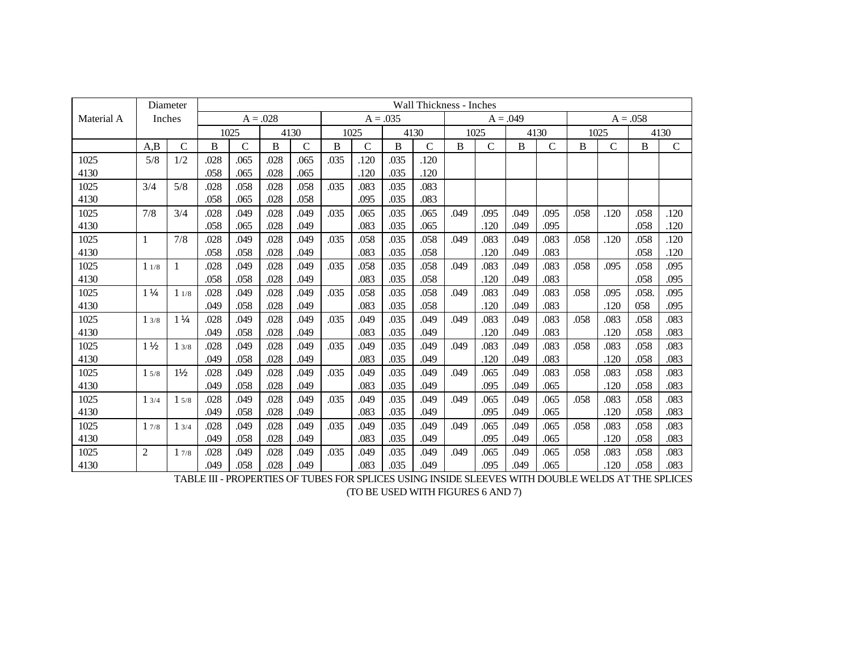|            |                | Diameter       |      |             |            |             |      | Wall Thickness - Inches |      |              |            |              |      |             |            |              |       |             |
|------------|----------------|----------------|------|-------------|------------|-------------|------|-------------------------|------|--------------|------------|--------------|------|-------------|------------|--------------|-------|-------------|
| Material A | Inches         |                |      |             | $A = .028$ |             |      | $A = .035$              |      |              | $A = .049$ |              |      |             | $A = .058$ |              |       |             |
|            |                |                |      | 1025        | 4130       |             |      | 1025                    |      | 4130         |            | 1025         |      | 4130        | 1025       |              | 4130  |             |
|            | A,B            | $\mathsf{C}$   | B    | $\mathbf C$ | B          | $\mathbf C$ | B    | $\mathbf C$             | B    | $\mathsf{C}$ | B          | $\mathsf{C}$ | B    | $\mathbf C$ | B          | $\mathsf{C}$ | B     | $\mathbf C$ |
| 1025       | 5/8            | 1/2            | .028 | .065        | .028       | .065        | .035 | .120                    | .035 | .120         |            |              |      |             |            |              |       |             |
| 4130       |                |                | .058 | .065        | .028       | .065        |      | .120                    | .035 | .120         |            |              |      |             |            |              |       |             |
| 1025       | 3/4            | 5/8            | .028 | .058        | .028       | .058        | .035 | .083                    | .035 | .083         |            |              |      |             |            |              |       |             |
| 4130       |                |                | .058 | .065        | .028       | .058        |      | .095                    | .035 | .083         |            |              |      |             |            |              |       |             |
| 1025       | 7/8            | 3/4            | .028 | .049        | .028       | .049        | .035 | .065                    | .035 | .065         | .049       | .095         | .049 | .095        | .058       | .120         | .058  | .120        |
| 4130       |                |                | .058 | .065        | .028       | .049        |      | .083                    | .035 | .065         |            | .120         | .049 | .095        |            |              | .058  | .120        |
| 1025       | $\mathbf{1}$   | 7/8            | .028 | .049        | .028       | .049        | .035 | .058                    | .035 | .058         | .049       | .083         | .049 | .083        | .058       | .120         | .058  | .120        |
| 4130       |                |                | .058 | .058        | .028       | .049        |      | .083                    | .035 | .058         |            | .120         | .049 | .083        |            |              | .058  | .120        |
| 1025       | 11/8           | -1             | .028 | .049        | .028       | .049        | .035 | .058                    | .035 | .058         | .049       | .083         | .049 | .083        | .058       | .095         | .058  | .095        |
| 4130       |                |                | .058 | .058        | .028       | .049        |      | .083                    | .035 | .058         |            | .120         | .049 | .083        |            |              | .058  | .095        |
| 1025       | $1\frac{1}{4}$ | 11/8           | .028 | .049        | .028       | .049        | .035 | .058                    | .035 | .058         | .049       | .083         | .049 | .083        | .058       | .095         | .058. | .095        |
| 4130       |                |                | .049 | .058        | .028       | .049        |      | .083                    | .035 | .058         |            | .120         | .049 | .083        |            | .120         | 058   | .095        |
| 1025       | 13/8           | $1\frac{1}{4}$ | .028 | .049        | .028       | .049        | .035 | .049                    | .035 | .049         | .049       | .083         | .049 | .083        | .058       | .083         | .058  | .083        |
| 4130       |                |                | .049 | .058        | .028       | .049        |      | .083                    | .035 | .049         |            | .120         | .049 | .083        |            | .120         | .058  | .083        |
| 1025       | $1\frac{1}{2}$ | 13/8           | .028 | .049        | .028       | .049        | .035 | .049                    | .035 | .049         | .049       | .083         | .049 | .083        | .058       | .083         | .058  | .083        |
| 4130       |                |                | .049 | .058        | .028       | .049        |      | .083                    | .035 | .049         |            | .120         | .049 | .083        |            | .120         | .058  | .083        |
| 1025       | 15/8           | $1\frac{1}{2}$ | .028 | .049        | .028       | .049        | .035 | .049                    | .035 | .049         | .049       | .065         | .049 | .083        | .058       | .083         | .058  | .083        |
| 4130       |                |                | .049 | .058        | .028       | .049        |      | .083                    | .035 | .049         |            | .095         | .049 | .065        |            | .120         | .058  | .083        |
| 1025       | 13/4           | 15/8           | .028 | .049        | .028       | .049        | .035 | .049                    | .035 | .049         | .049       | .065         | .049 | .065        | .058       | .083         | .058  | .083        |
| 4130       |                |                | .049 | .058        | .028       | .049        |      | .083                    | .035 | .049         |            | .095         | .049 | .065        |            | .120         | .058  | .083        |
| 1025       | 17/8           | 13/4           | .028 | .049        | .028       | .049        | .035 | .049                    | .035 | .049         | .049       | .065         | .049 | .065        | .058       | .083         | .058  | .083        |
| 4130       |                |                | .049 | .058        | .028       | .049        |      | .083                    | .035 | .049         |            | .095         | .049 | .065        |            | .120         | .058  | .083        |
| 1025       | $\overline{c}$ | 17/8           | .028 | .049        | .028       | .049        | .035 | .049                    | .035 | .049         | .049       | .065         | .049 | .065        | .058       | .083         | .058  | .083        |
| 4130       |                |                | .049 | .058        | .028       | .049        |      | .083                    | .035 | .049         |            | .095         | .049 | .065        |            | .120         | .058  | .083        |

TABLE III - PROPERTIES OF TUBES FOR SPLICES USING INSIDE SLEEVES WITH DOUBLE WELDS AT THE SPLICES (TO BE USED WITH FIGURES 6 AND 7)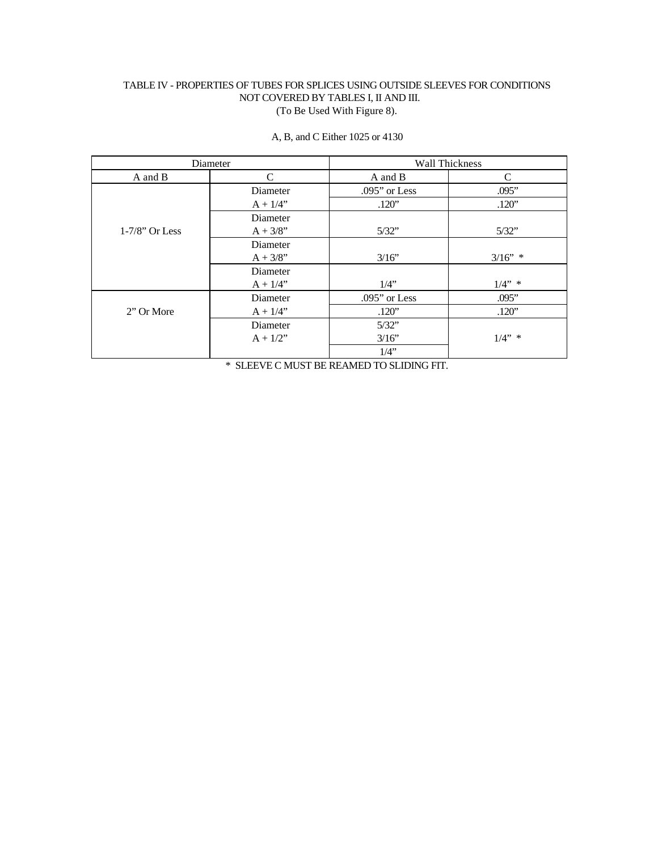# TABLE IV - PROPERTIES OF TUBES FOR SPLICES USING OUTSIDE SLEEVES FOR CONDITIONS NOT COVERED BY TABLES I, II AND III. (To Be Used With Figure 8).

|                   | Diameter    |                 | <b>Wall Thickness</b> |
|-------------------|-------------|-----------------|-----------------------|
| A and B           | C           | A and B         | C                     |
|                   | Diameter    | $.095"$ or Less | .095"                 |
|                   | $A + 1/4"$  | .120"           | .120"                 |
|                   | Diameter    |                 |                       |
| $1-7/8$ " Or Less | $A + 3/8$ " | 5/32"           | 5/32"                 |
|                   | Diameter    |                 |                       |
|                   | $A + 3/8$ " | 3/16"           | $3/16"$ *             |
|                   | Diameter    |                 |                       |
|                   | $A + 1/4"$  | $1/4$ "         | $1/4"$ *              |
|                   | Diameter    | $.095"$ or Less | .095"                 |
| 2" Or More        | $A + 1/4"$  | .120"           | .120"                 |
|                   | Diameter    | 5/32"           |                       |
|                   | $A + 1/2"$  | 3/16"           | $1/4"$ *              |
|                   |             | $1/4$ "         |                       |

A, B, and C Either 1025 or 4130

\* SLEEVE C MUST BE REAMED TO SLIDING FIT.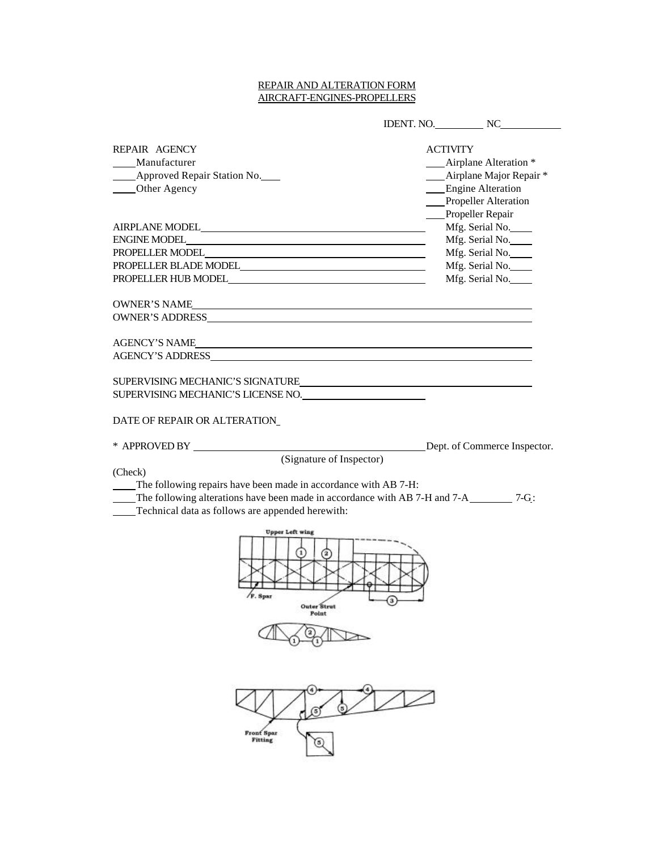# REPAIR AND ALTERATION FORM AIRCRAFT-ENGINES-PROPELLERS

|                                                                                                                                                                                                                                | IDENT. NO. NO                              |
|--------------------------------------------------------------------------------------------------------------------------------------------------------------------------------------------------------------------------------|--------------------------------------------|
|                                                                                                                                                                                                                                |                                            |
| REPAIR AGENCY<br>Manufacturer                                                                                                                                                                                                  | <b>ACTIVITY</b><br>__Airplane Alteration * |
| Approved Repair Station No.                                                                                                                                                                                                    | - Airplane Major Repair*                   |
| ____Other Agency                                                                                                                                                                                                               | Engine Alteration                          |
|                                                                                                                                                                                                                                | Propeller Alteration                       |
|                                                                                                                                                                                                                                | Propeller Repair                           |
|                                                                                                                                                                                                                                | Mfg. Serial No.                            |
|                                                                                                                                                                                                                                | Mfg. Serial No.                            |
| PROPELLER MODEL CONTRACT CONTRACT CONTRACT CONTRACT CONTRACT CONTRACT CONTRACT CONTRACT CONTRACT CONTRACT CONTRACT CONTRACT CONTRACT CONTRACT CONTRACT CONTRACT CONTRACT CONTRACT CONTRACT CONTRACT CONTRACT CONTRACT CONTRACT | Mfg. Serial No.                            |
| PROPELLER BLADE MODEL                                                                                                                                                                                                          | Mfg. Serial No.                            |
|                                                                                                                                                                                                                                | Mfg. Serial No.                            |
|                                                                                                                                                                                                                                |                                            |
| OWNER'S NAME                                                                                                                                                                                                                   |                                            |
| OWNER'S ADDRESS ON THE RESERVE AND THE RESERVE AND THE RESERVE AND THE RESERVE AND THE RESERVE AND THE RESERVE AND THE RESERVE AND THE RESERVE AND THE RESERVE AND THE RESERVE AND THE RESERVE AND THE RESERVE AND THE RESERVE |                                            |
|                                                                                                                                                                                                                                |                                            |
| <b>AGENCY'S NAME</b>                                                                                                                                                                                                           |                                            |
| AGENCY'S ADDRESS                                                                                                                                                                                                               |                                            |
|                                                                                                                                                                                                                                |                                            |
| SUPERVISING MECHANIC'S SIGNATURE                                                                                                                                                                                               |                                            |
| SUPERVISING MECHANIC'S LICENSE NO.                                                                                                                                                                                             |                                            |
|                                                                                                                                                                                                                                |                                            |
| DATE OF REPAIR OR ALTERATION                                                                                                                                                                                                   |                                            |
|                                                                                                                                                                                                                                |                                            |
|                                                                                                                                                                                                                                | Dept. of Commerce Inspector.               |
| (Signature of Inspector)<br>(Check)                                                                                                                                                                                            |                                            |
| The following repairs have been made in accordance with AB 7-H:                                                                                                                                                                |                                            |
|                                                                                                                                                                                                                                |                                            |
| Technical data as follows are appended herewith:                                                                                                                                                                               |                                            |
|                                                                                                                                                                                                                                |                                            |
| <b>Upper Left wing</b>                                                                                                                                                                                                         |                                            |
| F. Spar<br>Outer Strut                                                                                                                                                                                                         |                                            |
| Point                                                                                                                                                                                                                          |                                            |
|                                                                                                                                                                                                                                |                                            |
|                                                                                                                                                                                                                                |                                            |
|                                                                                                                                                                                                                                |                                            |
|                                                                                                                                                                                                                                |                                            |
| 4<br>$\left(5\right)$                                                                                                                                                                                                          |                                            |
| <b>Front Spar</b>                                                                                                                                                                                                              |                                            |
| <b>Fitting</b><br>5                                                                                                                                                                                                            |                                            |
|                                                                                                                                                                                                                                |                                            |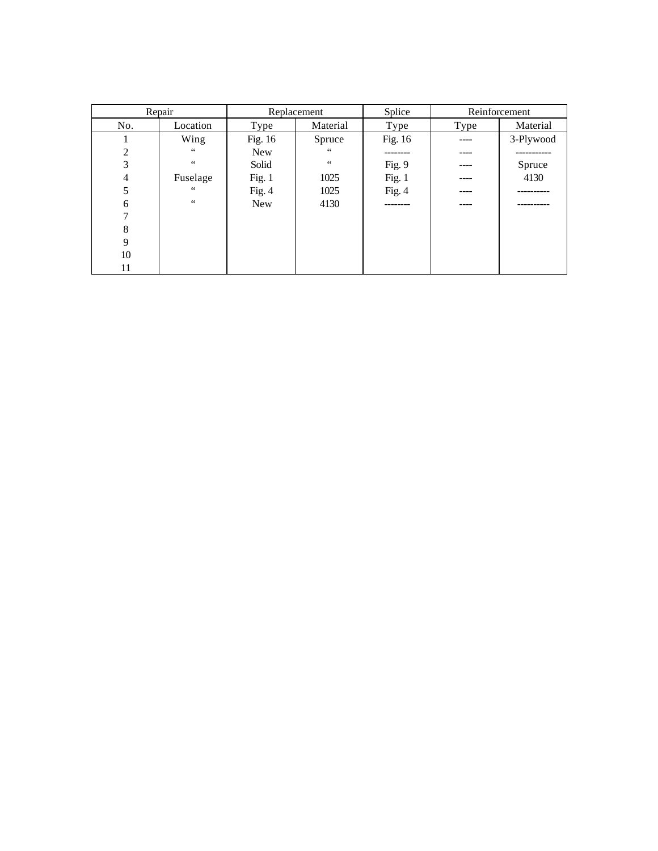|                | Repair          |            | Replacement    | Splice   |      | Reinforcement |  |
|----------------|-----------------|------------|----------------|----------|------|---------------|--|
| No.            | Location        | Type       | Material       | Type     | Type | Material      |  |
|                | Wing            | Fig. 16    | Spruce         | Fig. 16  |      | 3-Plywood     |  |
| $\overline{c}$ | 66              | <b>New</b> | $\zeta\,\zeta$ | ------   |      |               |  |
| 3              | $\zeta$ $\zeta$ | Solid      | $\,$ 6 $\,$    | Fig. 9   |      | Spruce        |  |
| 4              | Fuselage        | Fig. $1$   | 1025           | Fig. $1$ |      | 4130          |  |
| 5              | 66              | Fig. $4$   | 1025           | Fig. $4$ |      |               |  |
| 6              | $\zeta$ $\zeta$ | New        | 4130           | -------- |      |               |  |
| ⇁              |                 |            |                |          |      |               |  |
| 8              |                 |            |                |          |      |               |  |
| 9              |                 |            |                |          |      |               |  |
| 10             |                 |            |                |          |      |               |  |
| 11             |                 |            |                |          |      |               |  |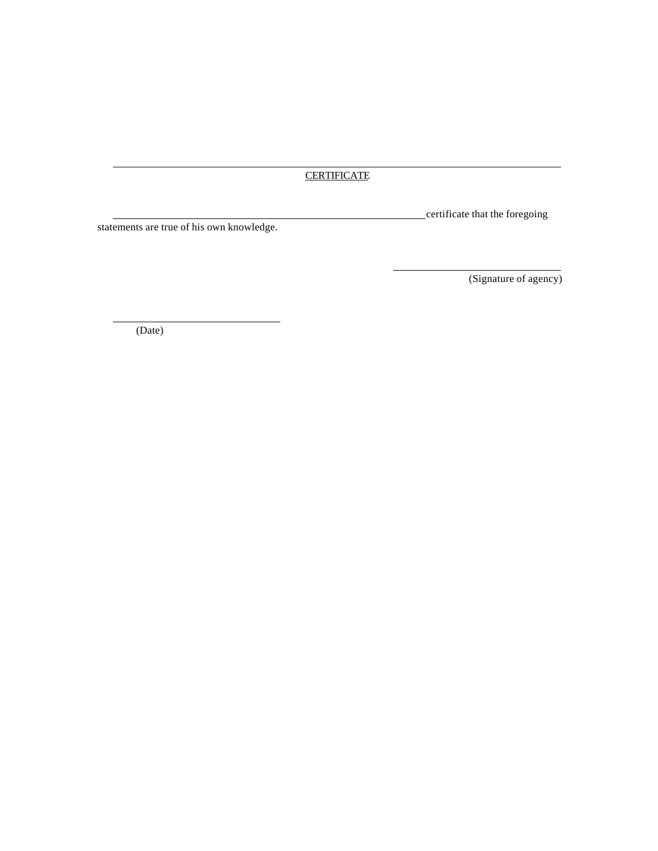# **CERTIFICATE**

l

statements are true of his own knowledge.

certificate that the foregoing

(Signature of agency)

(Date)

l

l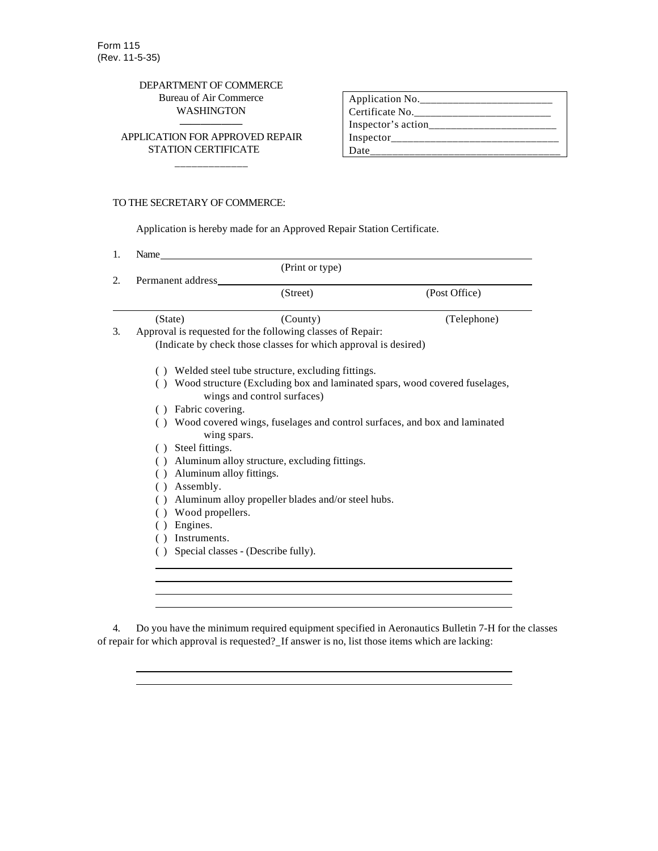# DEPARTMENT OF COMMERCE Bureau of Air Commerce WASHINGTON

—————— APPLICATION FOR APPROVED REPAIR STATION CERTIFICATE \_\_\_\_\_\_\_\_\_\_\_\_\_

| Application No.    |
|--------------------|
| Certificate No.    |
| Inspector's action |
| Inspector          |
| <b>Date</b>        |

# TO THE SECRETARY OF COMMERCE:

l

l l

Application is hereby made for an Approved Repair Station Certificate.

|                   | (Print or type)                                                                          |               |
|-------------------|------------------------------------------------------------------------------------------|---------------|
| Permanent address |                                                                                          |               |
|                   | (Street)                                                                                 | (Post Office) |
| (State)           | (County)                                                                                 | (Telephone)   |
|                   | Approval is requested for the following classes of Repair:                               |               |
|                   | (Indicate by check those classes for which approval is desired)                          |               |
|                   | Welded steel tube structure, excluding fittings.                                         |               |
|                   | Wood structure (Excluding box and laminated spars, wood covered fuselages,               |               |
|                   | wings and control surfaces)                                                              |               |
| Fabric covering.  |                                                                                          |               |
| (                 | Wood covered wings, fuselages and control surfaces, and box and laminated<br>wing spars. |               |
| Steel fittings.   |                                                                                          |               |
|                   | Aluminum alloy structure, excluding fittings.                                            |               |
|                   | Aluminum alloy fittings.                                                                 |               |
| Assembly.<br>(    |                                                                                          |               |
|                   | Aluminum alloy propeller blades and/or steel hubs.                                       |               |
|                   | Wood propellers.                                                                         |               |
| Engines.          |                                                                                          |               |
| Instruments.      |                                                                                          |               |
|                   | Special classes - (Describe fully).                                                      |               |

4. Do you have the minimum required equipment specified in Aeronautics Bulletin 7-H for the classes of repair for which approval is requested? If answer is no, list those items which are lacking: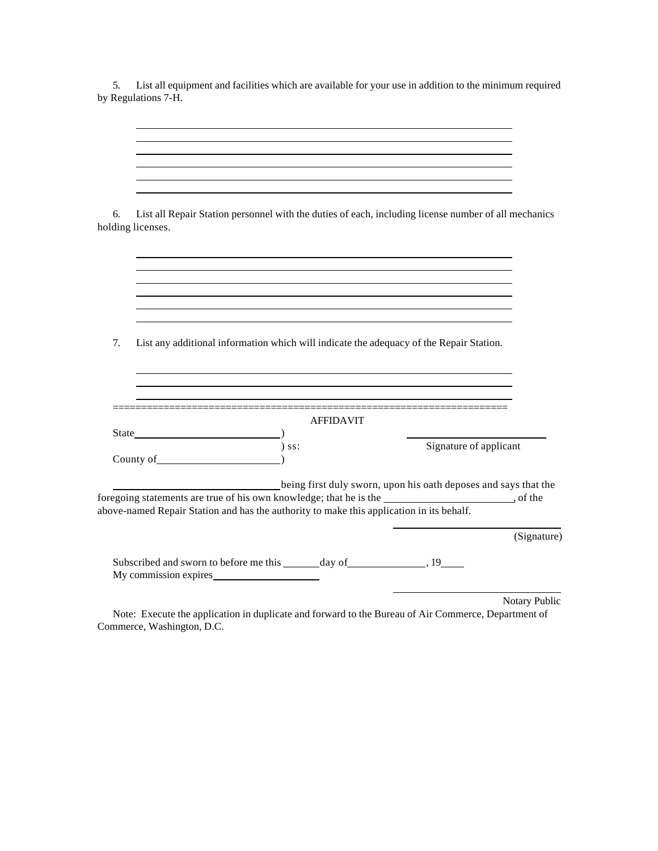5. List all equipment and facilities which are available for your use in addition to the minimum required by Regulations 7-H.

| 6.<br>holding licenses.                                                                                                                                                                                                                                                                                                             |                                                                                          | List all Repair Station personnel with the duties of each, including license number of all mechanics |
|-------------------------------------------------------------------------------------------------------------------------------------------------------------------------------------------------------------------------------------------------------------------------------------------------------------------------------------|------------------------------------------------------------------------------------------|------------------------------------------------------------------------------------------------------|
|                                                                                                                                                                                                                                                                                                                                     |                                                                                          |                                                                                                      |
| 7.                                                                                                                                                                                                                                                                                                                                  | List any additional information which will indicate the adequacy of the Repair Station.  |                                                                                                      |
|                                                                                                                                                                                                                                                                                                                                     | <b>AFFIDAVIT</b>                                                                         |                                                                                                      |
| $\begin{pmatrix} 0 & 0 & 0 \\ 0 & 0 & 0 \\ 0 & 0 & 0 \\ 0 & 0 & 0 \\ 0 & 0 & 0 \\ 0 & 0 & 0 \\ 0 & 0 & 0 \\ 0 & 0 & 0 \\ 0 & 0 & 0 \\ 0 & 0 & 0 \\ 0 & 0 & 0 \\ 0 & 0 & 0 \\ 0 & 0 & 0 \\ 0 & 0 & 0 \\ 0 & 0 & 0 \\ 0 & 0 & 0 & 0 \\ 0 & 0 & 0 & 0 \\ 0 & 0 & 0 & 0 \\ 0 & 0 & 0 & 0 \\ 0 & 0 & 0 & 0 \\ 0 & 0 & 0 & 0 & 0 \\ 0 & $ | $)$ ss:                                                                                  | Signature of applicant                                                                               |
|                                                                                                                                                                                                                                                                                                                                     | above-named Repair Station and has the authority to make this application in its behalf. | being first duly sworn, upon his oath deposes and says that the                                      |
|                                                                                                                                                                                                                                                                                                                                     |                                                                                          |                                                                                                      |
|                                                                                                                                                                                                                                                                                                                                     |                                                                                          | (Signature)                                                                                          |

Note: Execute the application in duplicate and forward to the Bureau of Air Commerce, Department of Commerce, Washington, D.C.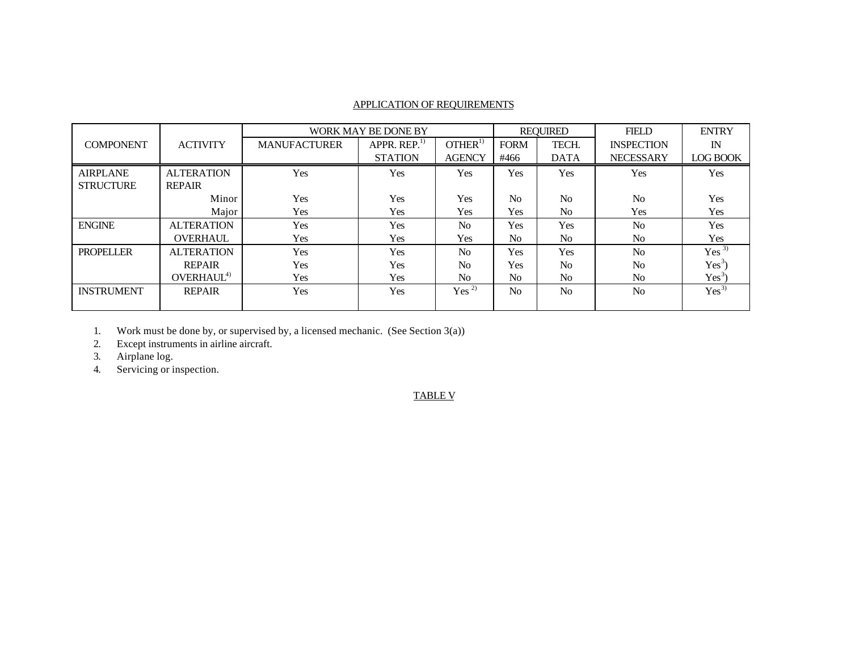# APPLICATION OF REQUIREMENTS

|                   |                        |                     | WORK MAY BE DONE BY      |                    |                | <b>REQUIRED</b> | <b>FIELD</b>      | <b>ENTRY</b>     |
|-------------------|------------------------|---------------------|--------------------------|--------------------|----------------|-----------------|-------------------|------------------|
| <b>COMPONENT</b>  | <b>ACTIVITY</b>        | <b>MANUFACTURER</b> | APPR. REP. <sup>17</sup> | OTHER <sup>1</sup> | <b>FORM</b>    | TECH.           | <b>INSPECTION</b> | IN               |
|                   |                        |                     | <b>STATION</b>           | <b>AGENCY</b>      | #466           | <b>DATA</b>     | <b>NECESSARY</b>  | <b>LOG BOOK</b>  |
| <b>AIRPLANE</b>   | <b>ALTERATION</b>      | Yes                 | Yes                      | <b>Yes</b>         | Yes            | <b>Yes</b>      | Yes               | Yes              |
| <b>STRUCTURE</b>  | <b>REPAIR</b>          |                     |                          |                    |                |                 |                   |                  |
|                   | Minor                  | Yes                 | Yes                      | <b>Yes</b>         | N <sub>0</sub> | No              | No                | Yes              |
|                   | Major                  | Yes                 | Yes                      | Yes                | Yes            | N <sub>0</sub>  | Yes               | Yes              |
| <b>ENGINE</b>     | <b>ALTERATION</b>      | Yes                 | Yes                      | N <sub>0</sub>     | <b>Yes</b>     | <b>Yes</b>      | N <sub>0</sub>    | Yes              |
|                   | <b>OVERHAUL</b>        | Yes                 | Yes                      | Yes                | N <sub>0</sub> | N <sub>0</sub>  | N <sub>0</sub>    | Yes              |
| <b>PROPELLER</b>  | <b>ALTERATION</b>      | Yes                 | Yes                      | N <sub>0</sub>     | Yes            | <b>Yes</b>      | N <sub>o</sub>    | Yes <sup>3</sup> |
|                   | <b>REPAIR</b>          | Yes                 | Yes                      | N <sub>0</sub>     | Yes            | N <sub>0</sub>  | No                | $Yes^3$          |
|                   | OVERHAUL <sup>4)</sup> | Yes                 | Yes                      | N <sub>0</sub>     | N <sub>0</sub> | N <sub>0</sub>  | N <sub>0</sub>    | $Yes^3$          |
| <b>INSTRUMENT</b> | <b>REPAIR</b>          | Yes                 | Yes                      | Yes <sup>2</sup>   | N <sub>0</sub> | N <sub>0</sub>  | N <sub>0</sub>    | $Yes^{3)}$       |
|                   |                        |                     |                          |                    |                |                 |                   |                  |

1. Work must be done by, or supervised by, a licensed mechanic. (See Section 3(a))

2. Except instruments in airline aircraft.

3. Airplane log.

4. Servicing or inspection.

# TABLE V